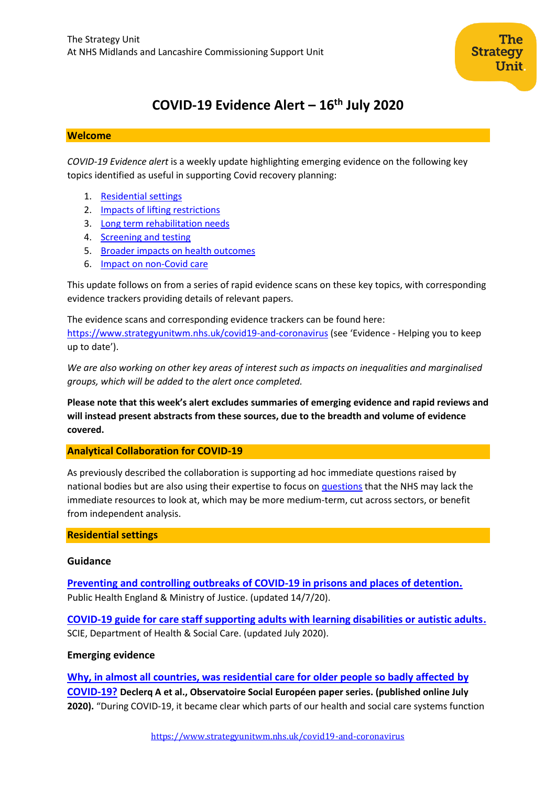

# **COVID-19 Evidence Alert – 16th July 2020**

### **Welcome**

*COVID-19 Evidence alert* is a weekly update highlighting emerging evidence on the following key topics identified as useful in supporting Covid recovery planning:

- 1. [Residential settings](#page-0-0)
- 2. Impacts of lifting restrictions
- 3. Long term rehabilitation needs
- 4. [Screening and testing](#page-11-0)
- 5. Broader impacts on health outcomes
- 6. Impact on non-Covid care

This update follows on from a series of rapid evidence scans on these key topics, with corresponding evidence trackers providing details of relevant papers.

The evidence scans and corresponding evidence trackers can be found here: <https://www.strategyunitwm.nhs.uk/covid19-and-coronavirus> (see 'Evidence - Helping you to keep up to date').

*We are also working on other key areas of interest such as impacts on inequalities and marginalised groups, which will be added to the alert once completed.*

**Please note that this week's alert excludes summaries of emerging evidence and rapid reviews and will instead present abstracts from these sources, due to the breadth and volume of evidence covered.**

## <span id="page-0-0"></span>**Analytical Collaboration for COVID-19**

As previously described the collaboration is supporting ad hoc immediate questions raised by national bodies but are also using their expertise to focus on [questions](https://www.strategyunitwm.nhs.uk/sites/default/files/2020-05/Covid%20Collaboration%20Summaries_0.pdf) that the NHS may lack the immediate resources to look at, which may be more medium-term, cut across sectors, or benefit from independent analysis.

### **Residential settings**

### **Guidance**

**[Preventing and controlling outbreaks of COVID-19 in prisons and places of detention.](https://www.gov.uk/government/publications/covid-19-prisons-and-other-prescribed-places-of-detention-guidance#history)** Public Health England & Ministry of Justice. (updated 14/7/20).

**[COVID-19 guide for care staff supporting adults with learning disabilities or autistic adults.](https://www.scie.org.uk/care-providers/coronavirus-covid-19/learning-disabilities-autism/care-staff)** SCIE, Department of Health & Social Care. (updated July 2020).

## **Emerging evidence**

**[Why, in almost all countries, was residential care for older people so badly affected](https://www.researchgate.net/profile/Anja_Declercq/publication/342751229_Why_in_almost_all_countries_was_residential_care_for_older_people_so_badly_affected_by_COVID-19_Why_in_almost_all_countries_was_residential_care_for_older_people_so_badly_affected_by_COVID-19/links/5f04bc25299bf188160839bc/Why-in-almost-all-countries-was-residential-care-for-older-people-so-badly-affected-by-COVID-19-Why-in-almost-all-countries-was-residential-care-for-older-people-so-badly-affected-by-COVID-19.pdf) by [COVID-19?](https://www.researchgate.net/profile/Anja_Declercq/publication/342751229_Why_in_almost_all_countries_was_residential_care_for_older_people_so_badly_affected_by_COVID-19_Why_in_almost_all_countries_was_residential_care_for_older_people_so_badly_affected_by_COVID-19/links/5f04bc25299bf188160839bc/Why-in-almost-all-countries-was-residential-care-for-older-people-so-badly-affected-by-COVID-19-Why-in-almost-all-countries-was-residential-care-for-older-people-so-badly-affected-by-COVID-19.pdf) Declerq A et al., Observatoire Social Européen paper series. (published online July 2020).** "During COVID-19, it became clear which parts of our health and social care systems function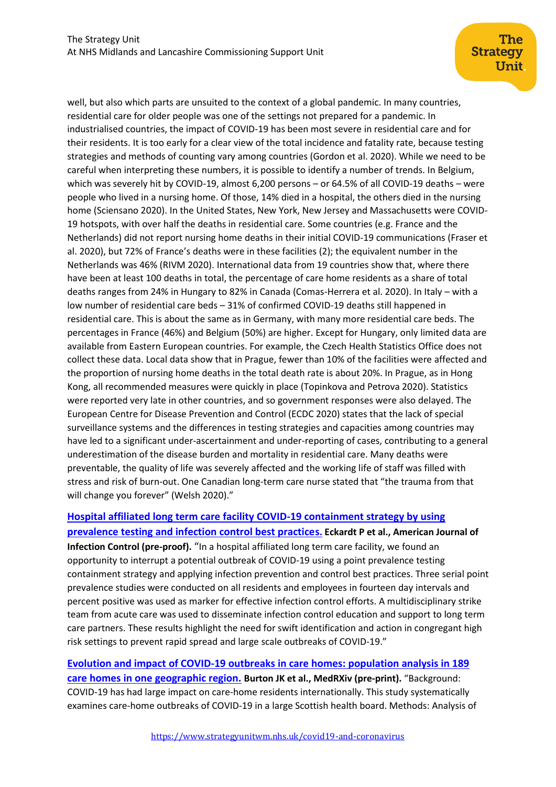well, but also which parts are unsuited to the context of a global pandemic. In many countries, residential care for older people was one of the settings not prepared for a pandemic. In industrialised countries, the impact of COVID-19 has been most severe in residential care and for their residents. It is too early for a clear view of the total incidence and fatality rate, because testing strategies and methods of counting vary among countries (Gordon et al. 2020). While we need to be careful when interpreting these numbers, it is possible to identify a number of trends. In Belgium, which was severely hit by COVID-19, almost 6,200 persons – or 64.5% of all COVID-19 deaths – were people who lived in a nursing home. Of those, 14% died in a hospital, the others died in the nursing home (Sciensano 2020). In the United States, New York, New Jersey and Massachusetts were COVID-19 hotspots, with over half the deaths in residential care. Some countries (e.g. France and the Netherlands) did not report nursing home deaths in their initial COVID-19 communications (Fraser et al. 2020), but 72% of France's deaths were in these facilities (2); the equivalent number in the Netherlands was 46% (RIVM 2020). International data from 19 countries show that, where there have been at least 100 deaths in total, the percentage of care home residents as a share of total deaths ranges from 24% in Hungary to 82% in Canada (Comas-Herrera et al. 2020). In Italy – with a low number of residential care beds – 31% of confirmed COVID-19 deaths still happened in residential care. This is about the same as in Germany, with many more residential care beds. The percentages in France (46%) and Belgium (50%) are higher. Except for Hungary, only limited data are available from Eastern European countries. For example, the Czech Health Statistics Office does not collect these data. Local data show that in Prague, fewer than 10% of the facilities were affected and the proportion of nursing home deaths in the total death rate is about 20%. In Prague, as in Hong Kong, all recommended measures were quickly in place (Topinkova and Petrova 2020). Statistics were reported very late in other countries, and so government responses were also delayed. The European Centre for Disease Prevention and Control (ECDC 2020) states that the lack of special surveillance systems and the differences in testing strategies and capacities among countries may have led to a significant under-ascertainment and under-reporting of cases, contributing to a general underestimation of the disease burden and mortality in residential care. Many deaths were preventable, the quality of life was severely affected and the working life of staff was filled with stress and risk of burn-out. One Canadian long-term care nurse stated that "the trauma from that will change you forever" (Welsh 2020)."

## **[Hospital affiliated long term care facility COVID-19 containment strategy by using](https://www.ajicjournal.org/article/S0196-6553(20)30636-2/pdf)  [prevalence testing and infection control best practices](https://www.ajicjournal.org/article/S0196-6553(20)30636-2/pdf). Eckardt P et al., American Journal of Infection Control (pre-proof).** "In a hospital affiliated long term care facility, we found an opportunity to interrupt a potential outbreak of COVID-19 using a point prevalence testing containment strategy and applying infection prevention and control best practices. Three serial point prevalence studies were conducted on all residents and employees in fourteen day intervals and percent positive was used as marker for effective infection control efforts. A multidisciplinary strike team from acute care was used to disseminate infection control education and support to long term care partners. These results highlight the need for swift identification and action in congregant high risk settings to prevent rapid spread and large scale outbreaks of COVID-19."

**Evolution and impact [of COVID-19 outbreaks in care homes: population analysis in 189](https://www.medrxiv.org/content/10.1101/2020.07.09.20149583v1)  [care homes in one geographic region.](https://www.medrxiv.org/content/10.1101/2020.07.09.20149583v1) Burton JK et al., MedRXiv (pre-print).** "Background: COVID-19 has had large impact on care-home residents internationally. This study systematically examines care-home outbreaks of COVID-19 in a large Scottish health board. Methods: Analysis of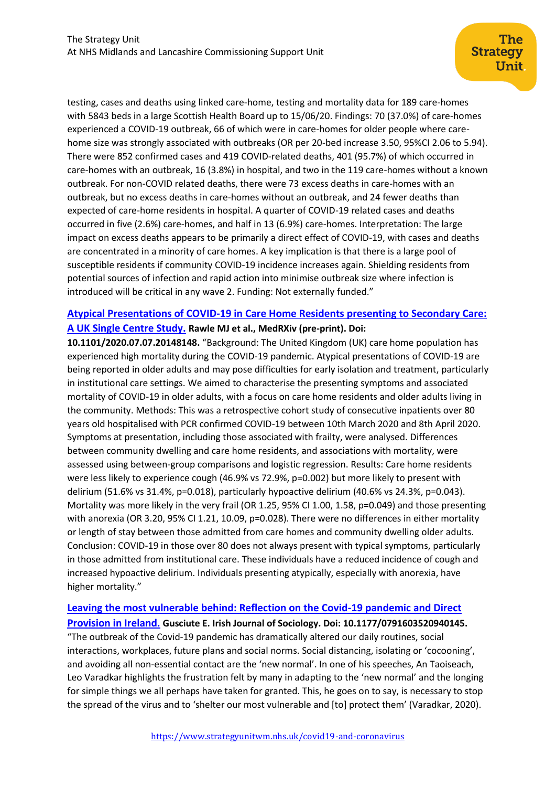testing, cases and deaths using linked care-home, testing and mortality data for 189 care-homes with 5843 beds in a large Scottish Health Board up to 15/06/20. Findings: 70 (37.0%) of care-homes experienced a COVID-19 outbreak, 66 of which were in care-homes for older people where carehome size was strongly associated with outbreaks (OR per 20-bed increase 3.50, 95%CI 2.06 to 5.94). There were 852 confirmed cases and 419 COVID-related deaths, 401 (95.7%) of which occurred in care-homes with an outbreak, 16 (3.8%) in hospital, and two in the 119 care-homes without a known outbreak. For non-COVID related deaths, there were 73 excess deaths in care-homes with an outbreak, but no excess deaths in care-homes without an outbreak, and 24 fewer deaths than expected of care-home residents in hospital. A quarter of COVID-19 related cases and deaths occurred in five (2.6%) care-homes, and half in 13 (6.9%) care-homes. Interpretation: The large impact on excess deaths appears to be primarily a direct effect of COVID-19, with cases and deaths are concentrated in a minority of care homes. A key implication is that there is a large pool of susceptible residents if community COVID-19 incidence increases again. Shielding residents from potential sources of infection and rapid action into minimise outbreak size where infection is introduced will be critical in any wave 2. Funding: Not externally funded."

## **[Atypical Presentations of COVID-19 in Care Home Residents presenting to Secondary Care:](https://www.medrxiv.org/content/10.1101/2020.07.07.20148148v1)  [A UK Single Centre Study.](https://www.medrxiv.org/content/10.1101/2020.07.07.20148148v1) Rawle MJ et al., MedRXiv (pre-print). Doi:**

**10.1101/2020.07.07.20148148.** "Background: The United Kingdom (UK) care home population has experienced high mortality during the COVID-19 pandemic. Atypical presentations of COVID-19 are being reported in older adults and may pose difficulties for early isolation and treatment, particularly in institutional care settings. We aimed to characterise the presenting symptoms and associated mortality of COVID-19 in older adults, with a focus on care home residents and older adults living in the community. Methods: This was a retrospective cohort study of consecutive inpatients over 80 years old hospitalised with PCR confirmed COVID-19 between 10th March 2020 and 8th April 2020. Symptoms at presentation, including those associated with frailty, were analysed. Differences between community dwelling and care home residents, and associations with mortality, were assessed using between-group comparisons and logistic regression. Results: Care home residents were less likely to experience cough (46.9% vs 72.9%, p=0.002) but more likely to present with delirium (51.6% vs 31.4%, p=0.018), particularly hypoactive delirium (40.6% vs 24.3%, p=0.043). Mortality was more likely in the very frail (OR 1.25, 95% CI 1.00, 1.58, p=0.049) and those presenting with anorexia (OR 3.20, 95% CI 1.21, 10.09, p=0.028). There were no differences in either mortality or length of stay between those admitted from care homes and community dwelling older adults. Conclusion: COVID-19 in those over 80 does not always present with typical symptoms, particularly in those admitted from institutional care. These individuals have a reduced incidence of cough and increased hypoactive delirium. Individuals presenting atypically, especially with anorexia, have higher mortality."

## **[Leaving the most vulnerable behind: Reflection on the Covid-19 pandemic and Direct](https://journals.sagepub.com/doi/full/10.1177/0791603520940145)  [Provision in Ireland.](https://journals.sagepub.com/doi/full/10.1177/0791603520940145) Gusciute E. Irish Journal of Sociology. Doi: 10.1177/0791603520940145.**

"The outbreak of the Covid-19 pandemic has dramatically altered our daily routines, social interactions, workplaces, future plans and social norms. Social distancing, isolating or 'cocooning', and avoiding all non-essential contact are the 'new normal'. In one of his speeches, An Taoiseach, Leo Varadkar highlights the frustration felt by many in adapting to the 'new normal' and the longing for simple things we all perhaps have taken for granted. This, he goes on to say, is necessary to stop the spread of the virus and to 'shelter our most vulnerable and [to] protect them' (Varadkar, 2020).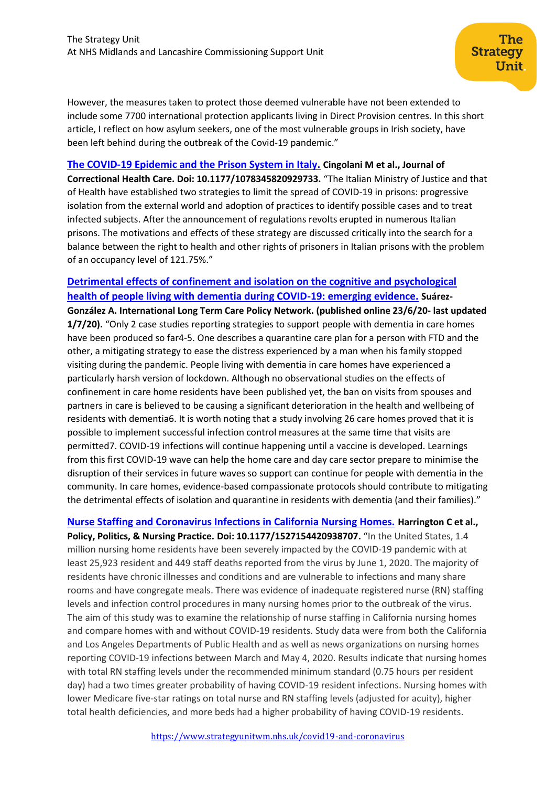However, the measures taken to protect those deemed vulnerable have not been extended to include some 7700 international protection applicants living in Direct Provision centres. In this short article, I reflect on how asylum seekers, one of the most vulnerable groups in Irish society, have been left behind during the outbreak of the Covid-19 pandemic."

The

Unit

**Strategy** 

## **[The COVID-19 Epidemic and the Prison System in Italy.](https://journals.sagepub.com/doi/full/10.1177/1078345820929733) Cingolani M et al., Journal of**

**Correctional Health Care. Doi: 10.1177/1078345820929733.** "The Italian Ministry of Justice and that of Health have established two strategies to limit the spread of COVID-19 in prisons: progressive isolation from the external world and adoption of practices to identify possible cases and to treat infected subjects. After the announcement of regulations revolts erupted in numerous Italian prisons. The motivations and effects of these strategy are discussed critically into the search for a balance between the right to health and other rights of prisoners in Italian prisons with the problem of an occupancy level of 121.75%."

## **[Detrimental effects of confinement and isolation on the cognitive and psychological](https://ltccovid.org/wp-content/uploads/2020/07/LTCcovid-1-July-Detrimental-effects-confinement-on-people-with-dementia.pdf)  [health of people living with dementia during COVID-19: emerging evidence.](https://ltccovid.org/wp-content/uploads/2020/07/LTCcovid-1-July-Detrimental-effects-confinement-on-people-with-dementia.pdf) Suárez-**

**González A. International Long Term Care Policy Network. (published online 23/6/20- last updated 1/7/20).** "Only 2 case studies reporting strategies to support people with dementia in care homes have been produced so far4-5. One describes a quarantine care plan for a person with FTD and the other, a mitigating strategy to ease the distress experienced by a man when his family stopped visiting during the pandemic. People living with dementia in care homes have experienced a particularly harsh version of lockdown. Although no observational studies on the effects of confinement in care home residents have been published yet, the ban on visits from spouses and partners in care is believed to be causing a significant deterioration in the health and wellbeing of residents with dementia6. It is worth noting that a study involving 26 care homes proved that it is possible to implement successful infection control measures at the same time that visits are permitted7. COVID-19 infections will continue happening until a vaccine is developed. Learnings from this first COVID-19 wave can help the home care and day care sector prepare to minimise the disruption of their services in future waves so support can continue for people with dementia in the community. In care homes, evidence-based compassionate protocols should contribute to mitigating the detrimental effects of isolation and quarantine in residents with dementia (and their families)."

**[Nurse Staffing and Coronavirus Infections in California Nursing Homes.](https://journals.sagepub.com/doi/full/10.1177/1527154420938707) Harrington C et al., Policy, Politics, & Nursing Practice. Doi: 10.1177/1527154420938707.** "In the United States, 1.4 million nursing home residents have been severely impacted by the COVID-19 pandemic with at least 25,923 resident and 449 staff deaths reported from the virus by June 1, 2020. The majority of residents have chronic illnesses and conditions and are vulnerable to infections and many share rooms and have congregate meals. There was evidence of inadequate registered nurse (RN) staffing levels and infection control procedures in many nursing homes prior to the outbreak of the virus. The aim of this study was to examine the relationship of nurse staffing in California nursing homes and compare homes with and without COVID-19 residents. Study data were from both the California and Los Angeles Departments of Public Health and as well as news organizations on nursing homes reporting COVID-19 infections between March and May 4, 2020. Results indicate that nursing homes with total RN staffing levels under the recommended minimum standard (0.75 hours per resident day) had a two times greater probability of having COVID-19 resident infections. Nursing homes with lower Medicare five-star ratings on total nurse and RN staffing levels (adjusted for acuity), higher total health deficiencies, and more beds had a higher probability of having COVID-19 residents.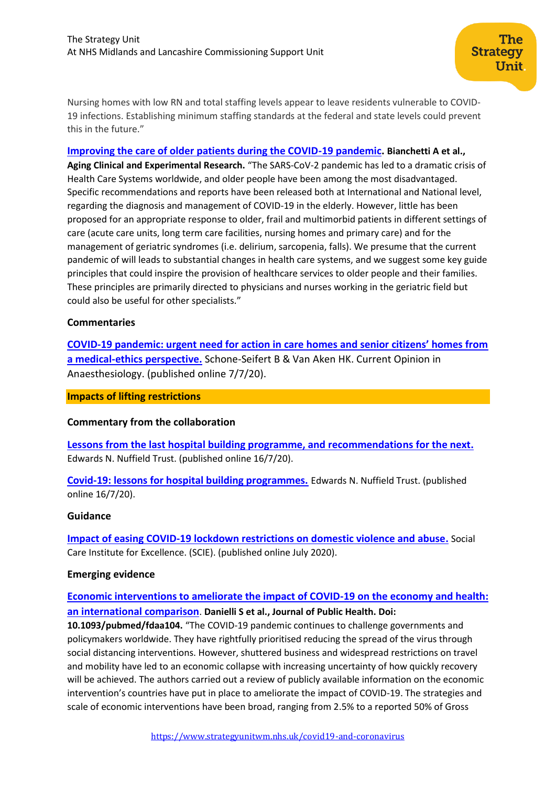Nursing homes with low RN and total staffing levels appear to leave residents vulnerable to COVID-19 infections. Establishing minimum staffing standards at the federal and state levels could prevent this in the future."

#### **[Improving the care of older patients during the COVID-19 pandemic.](https://link.springer.com/article/10.1007/s40520-020-01641-w) Bianchetti A et al.,**

**Aging Clinical and Experimental Research.** "The SARS-CoV-2 pandemic has led to a dramatic crisis of Health Care Systems worldwide, and older people have been among the most disadvantaged. Specific recommendations and reports have been released both at International and National level, regarding the diagnosis and management of COVID-19 in the elderly. However, little has been proposed for an appropriate response to older, frail and multimorbid patients in different settings of care (acute care units, long term care facilities, nursing homes and primary care) and for the management of geriatric syndromes (i.e. delirium, sarcopenia, falls). We presume that the current pandemic of will leads to substantial changes in health care systems, and we suggest some key guide principles that could inspire the provision of healthcare services to older people and their families. These principles are primarily directed to physicians and nurses working in the geriatric field but could also be useful for other specialists."

#### **Commentaries**

**COVID-[19 pandemic: urgent need for action in care homes and senior citizens' homes from](https://www.ncbi.nlm.nih.gov/research/coronavirus/publication/32628396)  [a medical-ethics perspective.](https://www.ncbi.nlm.nih.gov/research/coronavirus/publication/32628396)** Schone-Seifert B & Van Aken HK. Current Opinion in Anaesthesiology. (published online 7/7/20).

#### **Impacts of lifting restrictions**

### **Commentary from the collaboration**

**[Lessons from the last hospital building programme, and recommendations for the next.](https://www.nuffieldtrust.org.uk/resource/lessons-from-the-last-hospital-building-programme-and-recommendations-for-the-next)** Edwards N. Nuffield Trust. (published online 16/7/20).

**[Covid-19: lessons for hospital building programmes.](https://www.nuffieldtrust.org.uk/news-item/covid-19-lessons-for-hospital-building-programmes)** Edwards N. Nuffield Trust. (published online 16/7/20).

#### **Guidance**

**[Impact of easing COVID-19 lockdown restrictions on domestic violence and abuse.](https://www.scie.org.uk/care-providers/coronavirus-covid-19/safeguarding/easing-lockdown-domestic-violence?utm_campaign=11670486_SCIELine%2013%20July&utm_medium=email&utm_source=SOCIAL%20CARE%20INSTITUTE%20FOR%20EXCELLENCE%20&utm_sfid=003G000001LrKpvIAF&utm_role=Information%20specialist%2F%20Librarian&dm_i=4O5,6Y506,C57OER,RYB5S,1)** Social Care Institute for Excellence. (SCIE). (published online July 2020).

### **Emerging evidence**

## **[Economic interventions to ameliorate the impact of COVID-19 on the economy and health:](https://watermark.silverchair.com/fdaa104.pdf?token=AQECAHi208BE49Ooan9kkhW_Ercy7Dm3ZL_9Cf3qfKAc485ysgAAArAwggKsBgkqhkiG9w0BBwagggKdMIICmQIBADCCApIGCSqGSIb3DQEHATAeBglghkgBZQMEAS4wEQQM2J4im4-8PeJbtQBnAgEQgIICY1zi-qYsfOI_OCOUKzdEU3gBFsVyxnHTZTqrZ7z77B50lnKfQQE0tSD4qtu9ZfT8jl95eqV9Y9IJisiLXUVsUzN_3RUPga2-poKzwYAycjLBlzndqyoTQ4oBn1Rs-JGyLHndqUgRnjXZZaXpSXw_cEOtlZyGlsKZwVGZSy_lSp9eVJdMM_Kv0VlEzJCHMjwVGrtftWed4he96y9bJZrwFwWliAwRu-HwaZTwydO7Wxq3hasy2_441FRboPdSxPCtH9pslLePMj0hdgQgzjM3OvgeRWi1-aFe0myUVEqf3vqibTrUk52iOoFQ-E6bBpbRAh0vtQPilFQpK6P5R9ZB_3F24EW_yfdFMu0uwDsx--7gmMkJVlZKC6mxKRF30D5AWwibjFj2NWMnkgdqFuS3zIXOAJFOMfSYEK_vXfUbk0Pu-YAXQOVT-US1nggazXvLHt0vpmBJQatReC2_8PJuT5FZZ3Z665xl0xmRA19sa7GwCdnQtUL_wRB49HNo135qV-x4UZsE30IUT5l1vNUMvsZw7lHzdNC4GRSk99jdSV_FSR4oHVaBqzGkqrpHmxCJfUC8XSclT2CHrU5HajM1NziNWKzegdK6JKGTOtMhEhhh7ExD3G6SF3cmUkFtS8ADd8wvTEckPtAUHM0_2Vt79blj0_tRDFyRuuXxye8wbRz8Rj6oDsPJ6-Yl7Fi50o3VxWCnbiTHDd1_SgRSrmwDQqyOflZEPnFGkzYA40rUlPlvdRNB8EyGn-Jt5EsancLyHXOEzxTssJGKyVzUDZlr-A1Cs6_wKpG1aczi9kHObndD0KK2)  [an international comparison](https://watermark.silverchair.com/fdaa104.pdf?token=AQECAHi208BE49Ooan9kkhW_Ercy7Dm3ZL_9Cf3qfKAc485ysgAAArAwggKsBgkqhkiG9w0BBwagggKdMIICmQIBADCCApIGCSqGSIb3DQEHATAeBglghkgBZQMEAS4wEQQM2J4im4-8PeJbtQBnAgEQgIICY1zi-qYsfOI_OCOUKzdEU3gBFsVyxnHTZTqrZ7z77B50lnKfQQE0tSD4qtu9ZfT8jl95eqV9Y9IJisiLXUVsUzN_3RUPga2-poKzwYAycjLBlzndqyoTQ4oBn1Rs-JGyLHndqUgRnjXZZaXpSXw_cEOtlZyGlsKZwVGZSy_lSp9eVJdMM_Kv0VlEzJCHMjwVGrtftWed4he96y9bJZrwFwWliAwRu-HwaZTwydO7Wxq3hasy2_441FRboPdSxPCtH9pslLePMj0hdgQgzjM3OvgeRWi1-aFe0myUVEqf3vqibTrUk52iOoFQ-E6bBpbRAh0vtQPilFQpK6P5R9ZB_3F24EW_yfdFMu0uwDsx--7gmMkJVlZKC6mxKRF30D5AWwibjFj2NWMnkgdqFuS3zIXOAJFOMfSYEK_vXfUbk0Pu-YAXQOVT-US1nggazXvLHt0vpmBJQatReC2_8PJuT5FZZ3Z665xl0xmRA19sa7GwCdnQtUL_wRB49HNo135qV-x4UZsE30IUT5l1vNUMvsZw7lHzdNC4GRSk99jdSV_FSR4oHVaBqzGkqrpHmxCJfUC8XSclT2CHrU5HajM1NziNWKzegdK6JKGTOtMhEhhh7ExD3G6SF3cmUkFtS8ADd8wvTEckPtAUHM0_2Vt79blj0_tRDFyRuuXxye8wbRz8Rj6oDsPJ6-Yl7Fi50o3VxWCnbiTHDd1_SgRSrmwDQqyOflZEPnFGkzYA40rUlPlvdRNB8EyGn-Jt5EsancLyHXOEzxTssJGKyVzUDZlr-A1Cs6_wKpG1aczi9kHObndD0KK2)**. **Danielli S et al., Journal of Public Health. Doi:**

**10.1093/pubmed/fdaa104.** "The COVID-19 pandemic continues to challenge governments and policymakers worldwide. They have rightfully prioritised reducing the spread of the virus through social distancing interventions. However, shuttered business and widespread restrictions on travel and mobility have led to an economic collapse with increasing uncertainty of how quickly recovery will be achieved. The authors carried out a review of publicly available information on the economic intervention's countries have put in place to ameliorate the impact of COVID-19. The strategies and scale of economic interventions have been broad, ranging from 2.5% to a reported 50% of Gross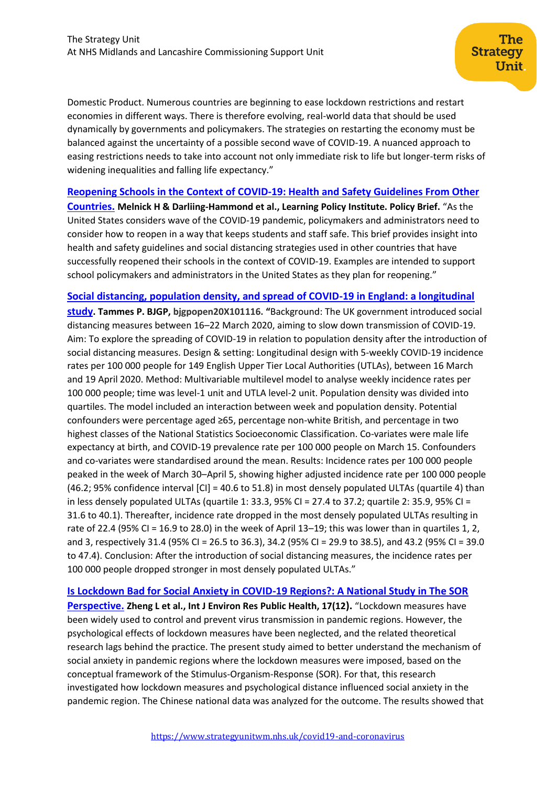Domestic Product. Numerous countries are beginning to ease lockdown restrictions and restart economies in different ways. There is therefore evolving, real-world data that should be used dynamically by governments and policymakers. The strategies on restarting the economy must be balanced against the uncertainty of a possible second wave of COVID-19. A nuanced approach to easing restrictions needs to take into account not only immediate risk to life but longer-term risks of widening inequalities and falling life expectancy."

### **[Reopening Schools in the Context of COVID-19: Health and Safety Guidelines From Other](http://www.nordcountryschool.org/uploads/5/2/3/3/5233925/1reopening_schools_covid-19_brief.pdf)**

**[Countries.](http://www.nordcountryschool.org/uploads/5/2/3/3/5233925/1reopening_schools_covid-19_brief.pdf) Melnick H & Darliing-Hammond et al., Learning Policy Institute. Policy Brief.** "As the United States considers wave of the COVID-19 pandemic, policymakers and administrators need to consider how to reopen in a way that keeps students and staff safe. This brief provides insight into health and safety guidelines and social distancing strategies used in other countries that have successfully reopened their schools in the context of COVID-19. Examples are intended to support school policymakers and administrators in the United States as they plan for reopening."

### **[Social distancing, population density, and spread of COVID-19 in England: a longitudinal](https://bjgpopen.org/content/early/2020/07/07/bjgpopen20X101116)**

**[study](https://bjgpopen.org/content/early/2020/07/07/bjgpopen20X101116). Tammes P. BJGP, bjgpopen20X101116. "**Background: The UK government introduced social distancing measures between 16–22 March 2020, aiming to slow down transmission of COVID-19. Aim: To explore the spreading of COVID-19 in relation to population density after the introduction of social distancing measures. Design & setting: Longitudinal design with 5-weekly COVID-19 incidence rates per 100 000 people for 149 English Upper Tier Local Authorities (UTLAs), between 16 March and 19 April 2020. Method: Multivariable multilevel model to analyse weekly incidence rates per 100 000 people; time was level-1 unit and UTLA level-2 unit. Population density was divided into quartiles. The model included an interaction between week and population density. Potential confounders were percentage aged ≥65, percentage non-white British, and percentage in two highest classes of the National Statistics Socioeconomic Classification. Co-variates were male life expectancy at birth, and COVID-19 prevalence rate per 100 000 people on March 15. Confounders and co-variates were standardised around the mean. Results: Incidence rates per 100 000 people peaked in the week of March 30–April 5, showing higher adjusted incidence rate per 100 000 people  $(46.2; 95%$  confidence interval  $\text{[CI]} = 40.6 \text{ to } 51.8$ ) in most densely populated ULTAs (quartile 4) than in less densely populated ULTAs (quartile 1: 33.3, 95% CI = 27.4 to 37.2; quartile 2: 35.9, 95% CI = 31.6 to 40.1). Thereafter, incidence rate dropped in the most densely populated ULTAs resulting in rate of 22.4 (95% CI = 16.9 to 28.0) in the week of April 13–19; this was lower than in quartiles 1, 2, and 3, respectively 31.4 (95% CI = 26.5 to 36.3), 34.2 (95% CI = 29.9 to 38.5), and 43.2 (95% CI = 39.0 to 47.4). Conclusion: After the introduction of social distancing measures, the incidence rates per 100 000 people dropped stronger in most densely populated ULTAs."

**[Is Lockdown Bad for Social Anxiety in COVID-19 Regions?: A National Study in The SOR](https://www.mdpi.com/1660-4601/17/12/4561/htm)  [Perspective.](https://www.mdpi.com/1660-4601/17/12/4561/htm) Zheng L et al., Int J Environ Res Public Health, 17(12).** "Lockdown measures have been widely used to control and prevent virus transmission in pandemic regions. However, the psychological effects of lockdown measures have been neglected, and the related theoretical research lags behind the practice. The present study aimed to better understand the mechanism of social anxiety in pandemic regions where the lockdown measures were imposed, based on the conceptual framework of the Stimulus-Organism-Response (SOR). For that, this research investigated how lockdown measures and psychological distance influenced social anxiety in the pandemic region. The Chinese national data was analyzed for the outcome. The results showed that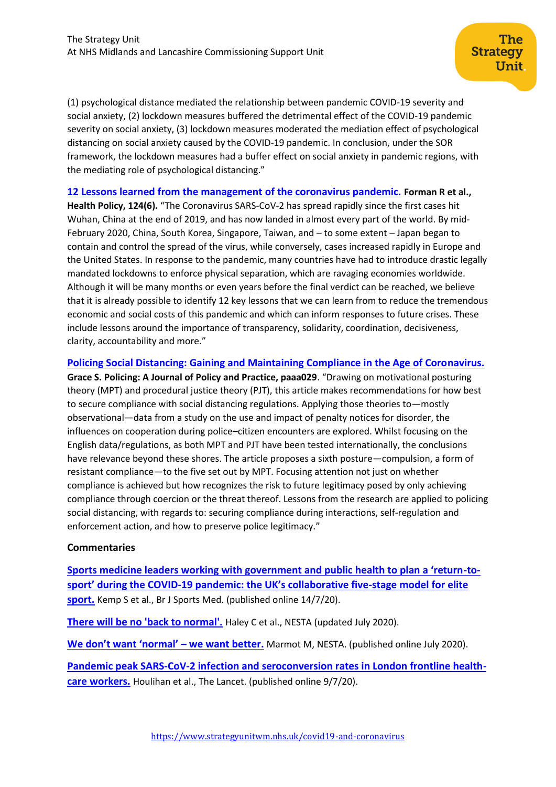(1) psychological distance mediated the relationship between pandemic COVID-19 severity and social anxiety, (2) lockdown measures buffered the detrimental effect of the COVID-19 pandemic severity on social anxiety, (3) lockdown measures moderated the mediation effect of psychological distancing on social anxiety caused by the COVID-19 pandemic. In conclusion, under the SOR framework, the lockdown measures had a buffer effect on social anxiety in pandemic regions, with the mediating role of psychological distancing."

## **[12 Lessons learned from the management of the coronavirus pandemic.](https://www.ncbi.nlm.nih.gov/pmc/articles/PMC7227502/) Forman R et al.,**

**Health Policy, 124(6).** "The Coronavirus SARS-CoV-2 has spread rapidly since the first cases hit Wuhan, China at the end of 2019, and has now landed in almost every part of the world. By mid-February 2020, China, South Korea, Singapore, Taiwan, and – to some extent – Japan began to contain and control the spread of the virus, while conversely, cases increased rapidly in Europe and the United States. In response to the pandemic, many countries have had to introduce drastic legally mandated lockdowns to enforce physical separation, which are ravaging economies worldwide. Although it will be many months or even years before the final verdict can be reached, we believe that it is already possible to identify 12 key lessons that we can learn from to reduce the tremendous economic and social costs of this pandemic and which can inform responses to future crises. These include lessons around the importance of transparency, solidarity, coordination, decisiveness, clarity, accountability and more."

### **[Policing Social Distancing: Gaining and Maintaining Compliance in the Age of Coronavirus.](https://academic.oup.com/policing/article/doi/10.1093/police/paaa029/5870426?searchresult=1)**

**Grace S. Policing: A Journal of Policy and Practice, paaa029**. "Drawing on motivational posturing theory (MPT) and procedural justice theory (PJT), this article makes recommendations for how best to secure compliance with social distancing regulations. Applying those theories to—mostly observational—data from a study on the use and impact of penalty notices for disorder, the influences on cooperation during police–citizen encounters are explored. Whilst focusing on the English data/regulations, as both MPT and PJT have been tested internationally, the conclusions have relevance beyond these shores. The article proposes a sixth posture—compulsion, a form of resistant compliance—to the five set out by MPT. Focusing attention not just on whether compliance is achieved but how recognizes the risk to future legitimacy posed by only achieving compliance through coercion or the threat thereof. Lessons from the research are applied to policing social distancing, with regards to: securing compliance during interactions, self-regulation and enforcement action, and how to preserve police legitimacy."

### **Commentaries**

**[Sports medicine leaders working with government and public health to plan a 'return](https://bjsm.bmj.com/content/bjsports/early/2020/07/12/bjsports-2020-102834.full.pdf)-tosport' during the COVID-[19 pandemic: the UK's collaborative five](https://bjsm.bmj.com/content/bjsports/early/2020/07/12/bjsports-2020-102834.full.pdf)-stage model for elite [sport.](https://bjsm.bmj.com/content/bjsports/early/2020/07/12/bjsports-2020-102834.full.pdf)** Kemp S et al., Br J Sports Med. (published online 14/7/20).

**[There will be no 'back to normal'.](https://www.nesta.org.uk/blog/there-will-be-no-back-normal/)** Haley C et al., NESTA (updated July 2020).

**[We don't want 'normal' –](https://www.nesta.org.uk/feature/health-design/we-dont-want-normal-we-want-better/) we want better.** Marmot M, NESTA. (published online July 2020).

**[Pandemic peak SARS-CoV-2 infection and seroconversion rates in London frontline health](https://www.thelancet.com/journals/lancet/article/PIIS0140-6736(20)31484-7/fulltext)[care workers.](https://www.thelancet.com/journals/lancet/article/PIIS0140-6736(20)31484-7/fulltext)** Houlihan et al., The Lancet. (published online 9/7/20).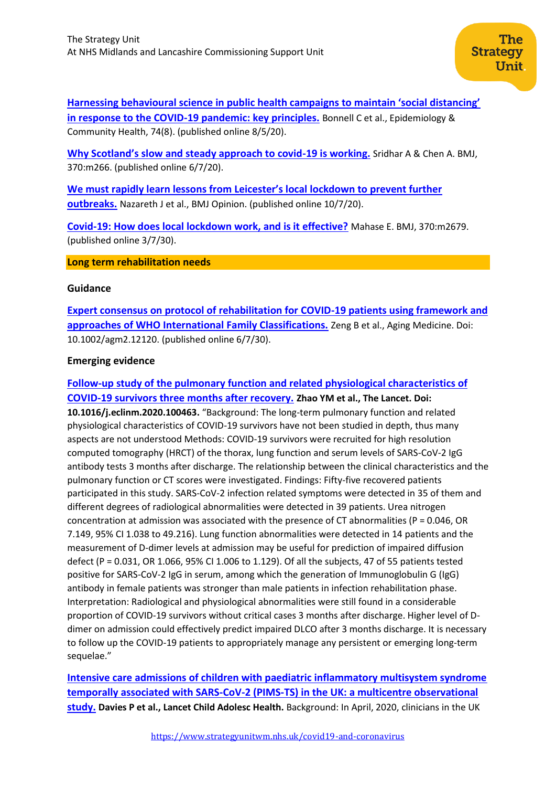**[Harnessing behavioural science in public health campaigns to maintain 'social distancing'](https://jech.bmj.com/content/74/8/617.long)  [in response to the COVID-19 pandemic: key principles.](https://jech.bmj.com/content/74/8/617.long)** Bonnell C et al., Epidemiology & Community Health, 74(8). (published online 8/5/20).

**[Why Scotland's slow and steady approach to covid](https://www.bmj.com/content/370/bmj.m2669)-19 is working.** Sridhar A & Chen A. BMJ, 370:m266. (published online 6/7/20).

**[We must rapidly learn lessons from Leicester's local lockdown to prevent further](https://blogs.bmj.com/bmj/2020/07/10/we-must-rapidly-learn-lessons-from-leicesters-local-lockdown-to-prevent-further-outbreaks/)  [outbreaks.](https://blogs.bmj.com/bmj/2020/07/10/we-must-rapidly-learn-lessons-from-leicesters-local-lockdown-to-prevent-further-outbreaks/)** Nazareth J et al., BMJ Opinion. (published online 10/7/20).

**[Covid-19: How does local lockdown work, and is it effective?](https://www.bmj.com/content/370/bmj.m2679)** Mahase E. BMJ, 370:m2679. (published online 3/7/30).

#### **Long term rehabilitation needs**

#### **Guidance**

**[Expert consensus on protocol of rehabilitation for COVID-19 patients using framework and](https://onlinelibrary.wiley.com/doi/pdf/10.1002/agm2.12120)  [approaches of WHO International Family Classifications.](https://onlinelibrary.wiley.com/doi/pdf/10.1002/agm2.12120)** Zeng B et al., Aging Medicine. Doi: 10.1002/agm2.12120. (published online 6/7/30).

### **Emerging evidence**

**[Follow-up study of the pulmonary function and related physiological characteristics of](https://www.thelancet.com/journals/eclinm/article/PIIS2589-5370(20)30207-8/fulltext#%20)  [COVID-19 survivors three months after recovery.](https://www.thelancet.com/journals/eclinm/article/PIIS2589-5370(20)30207-8/fulltext#%20) Zhao YM et al., The Lancet. Doi: 10.1016/j.eclinm.2020.100463.** "Background: The long-term pulmonary function and related physiological characteristics of COVID-19 survivors have not been studied in depth, thus many aspects are not understood Methods: COVID-19 survivors were recruited for high resolution computed tomography (HRCT) of the thorax, lung function and serum levels of SARS-CoV-2 IgG antibody tests 3 months after discharge. The relationship between the clinical characteristics and the pulmonary function or CT scores were investigated. Findings: Fifty-five recovered patients participated in this study. SARS-CoV-2 infection related symptoms were detected in 35 of them and different degrees of radiological abnormalities were detected in 39 patients. Urea nitrogen concentration at admission was associated with the presence of CT abnormalities (P = 0.046, OR 7.149, 95% CI 1.038 to 49.216). Lung function abnormalities were detected in 14 patients and the measurement of D-dimer levels at admission may be useful for prediction of impaired diffusion defect (P = 0.031, OR 1.066, 95% CI 1.006 to 1.129). Of all the subjects, 47 of 55 patients tested positive for SARS-CoV-2 IgG in serum, among which the generation of Immunoglobulin G (IgG) antibody in female patients was stronger than male patients in infection rehabilitation phase. Interpretation: Radiological and physiological abnormalities were still found in a considerable proportion of COVID-19 survivors without critical cases 3 months after discharge. Higher level of Ddimer on admission could effectively predict impaired DLCO after 3 months discharge. It is necessary to follow up the COVID-19 patients to appropriately manage any persistent or emerging long-term sequelae."

**[Intensive care admissions of children with paediatric inflammatory multisystem syndrome](https://www.thelancet.com/pdfs/journals/lanchi/PIIS2352-4642(20)30215-7.pdf)  [temporally associated with SARS-CoV-2 \(PIMS-TS\) in the UK: a multicentre observational](https://www.thelancet.com/pdfs/journals/lanchi/PIIS2352-4642(20)30215-7.pdf)  [study.](https://www.thelancet.com/pdfs/journals/lanchi/PIIS2352-4642(20)30215-7.pdf) Davies P et al., Lancet Child Adolesc Health.** Background: In April, 2020, clinicians in the UK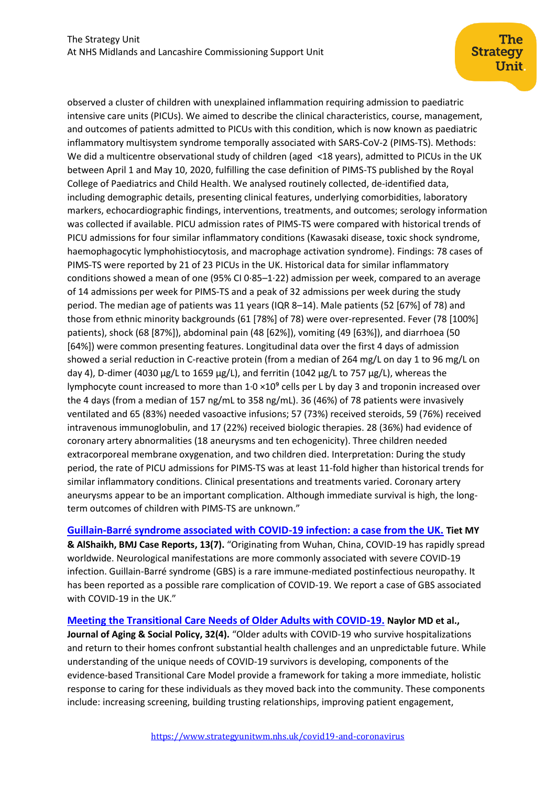observed a cluster of children with unexplained inflammation requiring admission to paediatric intensive care units (PICUs). We aimed to describe the clinical characteristics, course, management, and outcomes of patients admitted to PICUs with this condition, which is now known as paediatric inflammatory multisystem syndrome temporally associated with SARS-CoV-2 (PIMS-TS). Methods: We did a multicentre observational study of children (aged <18 years), admitted to PICUs in the UK between April 1 and May 10, 2020, fulfilling the case definition of PIMS-TS published by the Royal College of Paediatrics and Child Health. We analysed routinely collected, de-identified data, including demographic details, presenting clinical features, underlying comorbidities, laboratory markers, echocardiographic findings, interventions, treatments, and outcomes; serology information was collected if available. PICU admission rates of PIMS-TS were compared with historical trends of PICU admissions for four similar inflammatory conditions (Kawasaki disease, toxic shock syndrome, haemophagocytic lymphohistiocytosis, and macrophage activation syndrome). Findings: 78 cases of PIMS-TS were reported by 21 of 23 PICUs in the UK. Historical data for similar inflammatory conditions showed a mean of one (95% CI 0·85–1·22) admission per week, compared to an average of 14 admissions per week for PIMS-TS and a peak of 32 admissions per week during the study period. The median age of patients was 11 years (IQR 8–14). Male patients (52 [67%] of 78) and those from ethnic minority backgrounds (61 [78%] of 78) were over-represented. Fever (78 [100%] patients), shock (68 [87%]), abdominal pain (48 [62%]), vomiting (49 [63%]), and diarrhoea (50 [64%]) were common presenting features. Longitudinal data over the first 4 days of admission showed a serial reduction in C-reactive protein (from a median of 264 mg/L on day 1 to 96 mg/L on day 4), D-dimer (4030  $\mu$ g/L to 1659  $\mu$ g/L), and ferritin (1042  $\mu$ g/L to 757  $\mu$ g/L), whereas the lymphocyte count increased to more than  $1.0 \times 10^9$  cells per L by day 3 and troponin increased over the 4 days (from a median of 157 ng/mL to 358 ng/mL). 36 (46%) of 78 patients were invasively ventilated and 65 (83%) needed vasoactive infusions; 57 (73%) received steroids, 59 (76%) received intravenous immunoglobulin, and 17 (22%) received biologic therapies. 28 (36%) had evidence of coronary artery abnormalities (18 aneurysms and ten echogenicity). Three children needed extracorporeal membrane oxygenation, and two children died. Interpretation: During the study period, the rate of PICU admissions for PIMS-TS was at least 11-fold higher than historical trends for similar inflammatory conditions. Clinical presentations and treatments varied. Coronary artery aneurysms appear to be an important complication. Although immediate survival is high, the longterm outcomes of children with PIMS-TS are unknown."

## **[Guillain-Barré syndrome associated with COVID-19 infection: a case from the UK.](https://casereports.bmj.com/content/13/7/e236536) Tiet MY**

**& AlShaikh, BMJ Case Reports, 13(7).** "Originating from Wuhan, China, COVID-19 has rapidly spread worldwide. Neurological manifestations are more commonly associated with severe COVID-19 infection. Guillain-Barré syndrome (GBS) is a rare immune-mediated postinfectious neuropathy. It has been reported as a possible rare complication of COVID-19. We report a case of GBS associated with COVID-19 in the UK."

## **[Meeting the Transitional Care Needs of Older Adults with COVID-19.](https://www.tandfonline.com/doi/full/10.1080/08959420.2020.1773189) Naylor MD et al., Journal of Aging & Social Policy, 32(4).** "Older adults with COVID-19 who survive hospitalizations and return to their homes confront substantial health challenges and an unpredictable future. While understanding of the unique needs of COVID-19 survivors is developing, components of the evidence-based Transitional Care Model provide a framework for taking a more immediate, holistic response to caring for these individuals as they moved back into the community. These components include: increasing screening, building trusting relationships, improving patient engagement,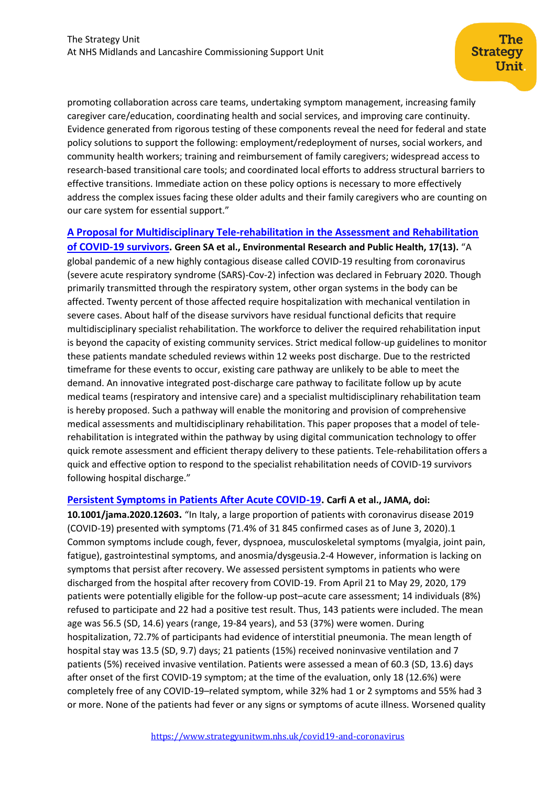promoting collaboration across care teams, undertaking symptom management, increasing family caregiver care/education, coordinating health and social services, and improving care continuity. Evidence generated from rigorous testing of these components reveal the need for federal and state policy solutions to support the following: employment/redeployment of nurses, social workers, and community health workers; training and reimbursement of family caregivers; widespread access to research-based transitional care tools; and coordinated local efforts to address structural barriers to effective transitions. Immediate action on these policy options is necessary to more effectively address the complex issues facing these older adults and their family caregivers who are counting on our care system for essential support."

**[A Proposal for Multidisciplinary Tele-rehabilitation in the Assessment and Rehabilitation](http://eprints.whiterose.ac.uk/162905/)** 

**[of COVID-19 survivors.](http://eprints.whiterose.ac.uk/162905/) Green SA et al., Environmental Research and Public Health, 17(13).** "A global pandemic of a new highly contagious disease called COVID-19 resulting from coronavirus (severe acute respiratory syndrome (SARS)-Cov-2) infection was declared in February 2020. Though primarily transmitted through the respiratory system, other organ systems in the body can be affected. Twenty percent of those affected require hospitalization with mechanical ventilation in severe cases. About half of the disease survivors have residual functional deficits that require multidisciplinary specialist rehabilitation. The workforce to deliver the required rehabilitation input is beyond the capacity of existing community services. Strict medical follow-up guidelines to monitor these patients mandate scheduled reviews within 12 weeks post discharge. Due to the restricted timeframe for these events to occur, existing care pathway are unlikely to be able to meet the demand. An innovative integrated post-discharge care pathway to facilitate follow up by acute medical teams (respiratory and intensive care) and a specialist multidisciplinary rehabilitation team is hereby proposed. Such a pathway will enable the monitoring and provision of comprehensive medical assessments and multidisciplinary rehabilitation. This paper proposes that a model of telerehabilitation is integrated within the pathway by using digital communication technology to offer quick remote assessment and efficient therapy delivery to these patients. Tele-rehabilitation offers a quick and effective option to respond to the specialist rehabilitation needs of COVID-19 survivors following hospital discharge."

### **[Persistent Symptoms in Patients After Acute COVID-19.](https://jamanetwork.com/journals/jama/fullarticle/2768351) Carfi A et al., JAMA, doi:**

**10.1001/jama.2020.12603.** "In Italy, a large proportion of patients with coronavirus disease 2019 (COVID-19) presented with symptoms (71.4% of 31 845 confirmed cases as of June 3, 2020).1 Common symptoms include cough, fever, dyspnoea, musculoskeletal symptoms (myalgia, joint pain, fatigue), gastrointestinal symptoms, and anosmia/dysgeusia.2-4 However, information is lacking on symptoms that persist after recovery. We assessed persistent symptoms in patients who were discharged from the hospital after recovery from COVID-19. From April 21 to May 29, 2020, 179 patients were potentially eligible for the follow-up post–acute care assessment; 14 individuals (8%) refused to participate and 22 had a positive test result. Thus, 143 patients were included. The mean age was 56.5 (SD, 14.6) years (range, 19-84 years), and 53 (37%) were women. During hospitalization, 72.7% of participants had evidence of interstitial pneumonia. The mean length of hospital stay was 13.5 (SD, 9.7) days; 21 patients (15%) received noninvasive ventilation and 7 patients (5%) received invasive ventilation. Patients were assessed a mean of 60.3 (SD, 13.6) days after onset of the first COVID-19 symptom; at the time of the evaluation, only 18 (12.6%) were completely free of any COVID-19–related symptom, while 32% had 1 or 2 symptoms and 55% had 3 or more. None of the patients had fever or any signs or symptoms of acute illness. Worsened quality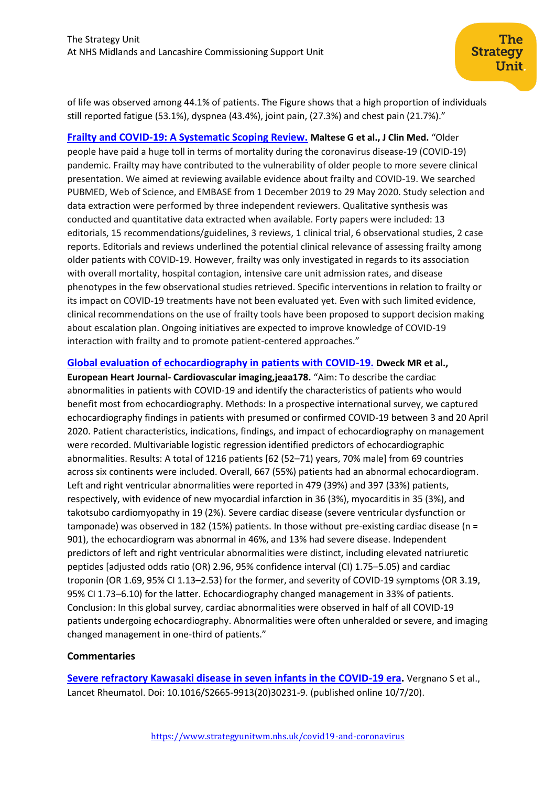of life was observed among 44.1% of patients. The Figure shows that a high proportion of individuals still reported fatigue (53.1%), dyspnea (43.4%), joint pain, (27.3%) and chest pain (21.7%)."

**[Frailty and COVID-19: A Systematic Scoping Review.](https://clinowl.com/frailty-and-covid-19-a-systematic-scoping-review/) Maltese G et al., J Clin Med.** "Older people have paid a huge toll in terms of mortality during the coronavirus disease-19 (COVID-19) pandemic. Frailty may have contributed to the vulnerability of older people to more severe clinical presentation. We aimed at reviewing available evidence about frailty and COVID-19. We searched PUBMED, Web of Science, and EMBASE from 1 December 2019 to 29 May 2020. Study selection and data extraction were performed by three independent reviewers. Qualitative synthesis was conducted and quantitative data extracted when available. Forty papers were included: 13 editorials, 15 recommendations/guidelines, 3 reviews, 1 clinical trial, 6 observational studies, 2 case reports. Editorials and reviews underlined the potential clinical relevance of assessing frailty among older patients with COVID-19. However, frailty was only investigated in regards to its association with overall mortality, hospital contagion, intensive care unit admission rates, and disease phenotypes in the few observational studies retrieved. Specific interventions in relation to frailty or its impact on COVID-19 treatments have not been evaluated yet. Even with such limited evidence, clinical recommendations on the use of frailty tools have been proposed to support decision making about escalation plan. Ongoing initiatives are expected to improve knowledge of COVID-19 interaction with frailty and to promote patient-centered approaches."

## **[Global evaluation of echocardiography in patients with COVID-19.](https://academic.oup.com/ehjcimaging/article/doi/10.1093/ehjci/jeaa178/5859292) Dweck MR et al.,**

**European Heart Journal- Cardiovascular imaging,jeaa178.** "Aim: To describe the cardiac abnormalities in patients with COVID-19 and identify the characteristics of patients who would benefit most from echocardiography. Methods: In a prospective international survey, we captured echocardiography findings in patients with presumed or confirmed COVID-19 between 3 and 20 April 2020. Patient characteristics, indications, findings, and impact of echocardiography on management were recorded. Multivariable logistic regression identified predictors of echocardiographic abnormalities. Results: A total of 1216 patients [62 (52–71) years, 70% male] from 69 countries across six continents were included. Overall, 667 (55%) patients had an abnormal echocardiogram. Left and right ventricular abnormalities were reported in 479 (39%) and 397 (33%) patients, respectively, with evidence of new myocardial infarction in 36 (3%), myocarditis in 35 (3%), and takotsubo cardiomyopathy in 19 (2%). Severe cardiac disease (severe ventricular dysfunction or tamponade) was observed in 182 (15%) patients. In those without pre-existing cardiac disease (n = 901), the echocardiogram was abnormal in 46%, and 13% had severe disease. Independent predictors of left and right ventricular abnormalities were distinct, including elevated natriuretic peptides [adjusted odds ratio (OR) 2.96, 95% confidence interval (CI) 1.75–5.05) and cardiac troponin (OR 1.69, 95% CI 1.13–2.53) for the former, and severity of COVID-19 symptoms (OR 3.19, 95% CI 1.73–6.10) for the latter. Echocardiography changed management in 33% of patients. Conclusion: In this global survey, cardiac abnormalities were observed in half of all COVID-19 patients undergoing echocardiography. Abnormalities were often unheralded or severe, and imaging changed management in one-third of patients."

### **Commentaries**

**[Severe refractory Kawasaki disease in seven infants in the COVID-19 era.](https://www.thelancet.com/pdfs/journals/lanrhe/PIIS2665-9913(20)30231-9.pdf)** Vergnano S et al., Lancet Rheumatol. Doi: 10.1016/S2665-9913(20)30231-9. (published online 10/7/20).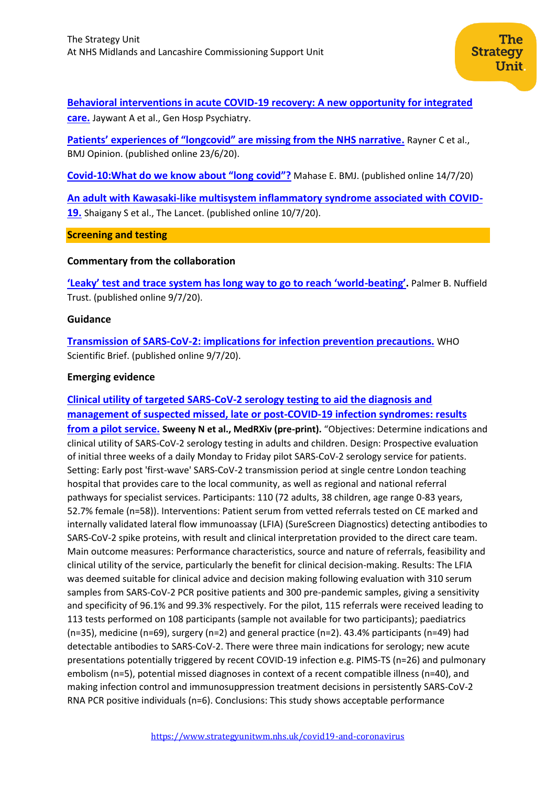## **[Behavioral interventions in acute COVID-19 recovery: A new opportunity for integrated](https://www.ncbi.nlm.nih.gov/pmc/articles/PMC7340026/)  [care.](https://www.ncbi.nlm.nih.gov/pmc/articles/PMC7340026/)** Jaywant A et al., Gen Hosp Psychiatry.

**[Patients' experiences of "longcovid" are missing from the NHS narrative](https://csucloudservices.sharepohttps/blogs.bmj.com/bmj/2020/06/23/covid-19-prolonged-and-relapsing-course-of-illness-has-implications-for-returning-workers/int.com/sites/StrategyUnit384-Covid19evidence/Shared%20Documents/Covid19%20evidence/Weekly%20alert/SU_CovidEvidence_WeeklyAlert_09072020.pdf).** Rayner C et al., BMJ Opinion. (published online 23/6/20).

**Covid-[10:What do we know about "long](https://www.bmj.com/content/370/bmj.m2815) covid"?** Mahase E. BMJ. (published online 14/7/20)

**[An adult with Kawasaki-like multisystem inflammatory syndrome associated with COVID-](https://www.thelancet.com/action/showPdf?pii=S0140-6736%2820%2931526-9)[19.](https://www.thelancet.com/action/showPdf?pii=S0140-6736%2820%2931526-9)** Shaigany S et al., The Lancet. (published online 10/7/20).

<span id="page-11-0"></span>**Screening and testing**

## **Commentary from the collaboration**

**['Leaky' test and trace system has long way to go to reach 'world](https://www.nuffieldtrust.org.uk/news-item/leaky-test-and-trace-system-has-long-way-to-go-to-reach-world-beating)-beating'.** Palmer B. Nuffield Trust. (published online 9/7/20).

## **Guidance**

**[Transmission of SARS-CoV-2: implications for infection prevention precautions.](https://www.who.int/news-room/commentaries/detail/transmission-of-sars-cov-2-implications-for-infection-prevention-precautions)** WHO Scientific Brief. (published online 9/7/20).

## **Emerging evidence**

## **[Clinical utility of targeted SARS-CoV-2 serology testing to aid the diagnosis and](https://www.medrxiv.org/content/10.1101/2020.07.10.20150540v1)  [management of suspected missed, late or post-COVID-19 infection syndromes: results](https://www.medrxiv.org/content/10.1101/2020.07.10.20150540v1)  [from a pilot service.](https://www.medrxiv.org/content/10.1101/2020.07.10.20150540v1) Sweeny N et al., MedRXiv (pre-print).** "Objectives: Determine indications and clinical utility of SARS-CoV-2 serology testing in adults and children. Design: Prospective evaluation of initial three weeks of a daily Monday to Friday pilot SARS-CoV-2 serology service for patients. Setting: Early post 'first-wave' SARS-CoV-2 transmission period at single centre London teaching hospital that provides care to the local community, as well as regional and national referral pathways for specialist services. Participants: 110 (72 adults, 38 children, age range 0-83 years, 52.7% female (n=58)). Interventions: Patient serum from vetted referrals tested on CE marked and internally validated lateral flow immunoassay (LFIA) (SureScreen Diagnostics) detecting antibodies to SARS-CoV-2 spike proteins, with result and clinical interpretation provided to the direct care team. Main outcome measures: Performance characteristics, source and nature of referrals, feasibility and clinical utility of the service, particularly the benefit for clinical decision-making. Results: The LFIA was deemed suitable for clinical advice and decision making following evaluation with 310 serum samples from SARS-CoV-2 PCR positive patients and 300 pre-pandemic samples, giving a sensitivity and specificity of 96.1% and 99.3% respectively. For the pilot, 115 referrals were received leading to 113 tests performed on 108 participants (sample not available for two participants); paediatrics (n=35), medicine (n=69), surgery (n=2) and general practice (n=2). 43.4% participants (n=49) had detectable antibodies to SARS-CoV-2. There were three main indications for serology; new acute presentations potentially triggered by recent COVID-19 infection e.g. PIMS-TS (n=26) and pulmonary embolism (n=5), potential missed diagnoses in context of a recent compatible illness (n=40), and making infection control and immunosuppression treatment decisions in persistently SARS-CoV-2 RNA PCR positive individuals (n=6). Conclusions: This study shows acceptable performance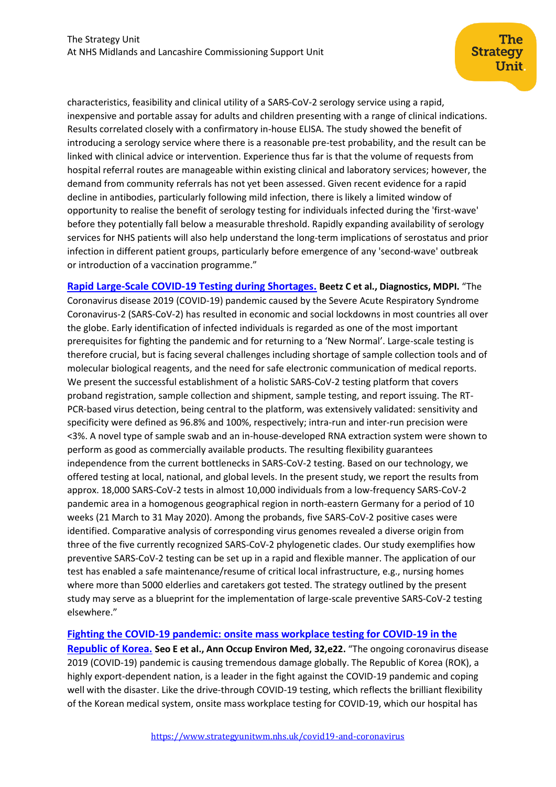characteristics, feasibility and clinical utility of a SARS-CoV-2 serology service using a rapid, inexpensive and portable assay for adults and children presenting with a range of clinical indications. Results correlated closely with a confirmatory in-house ELISA. The study showed the benefit of introducing a serology service where there is a reasonable pre-test probability, and the result can be linked with clinical advice or intervention. Experience thus far is that the volume of requests from hospital referral routes are manageable within existing clinical and laboratory services; however, the demand from community referrals has not yet been assessed. Given recent evidence for a rapid decline in antibodies, particularly following mild infection, there is likely a limited window of opportunity to realise the benefit of serology testing for individuals infected during the 'first-wave' before they potentially fall below a measurable threshold. Rapidly expanding availability of serology services for NHS patients will also help understand the long-term implications of serostatus and prior infection in different patient groups, particularly before emergence of any 'second-wave' outbreak or introduction of a vaccination programme."

**[Rapid Large-Scale COVID-19 Testing during Shortages.](https://www.mdpi.com/2075-4418/10/7/464) Beetz C et al., Diagnostics, MDPI.** "The Coronavirus disease 2019 (COVID-19) pandemic caused by the Severe Acute Respiratory Syndrome Coronavirus-2 (SARS-CoV-2) has resulted in economic and social lockdowns in most countries all over the globe. Early identification of infected individuals is regarded as one of the most important prerequisites for fighting the pandemic and for returning to a 'New Normal'. Large-scale testing is therefore crucial, but is facing several challenges including shortage of sample collection tools and of molecular biological reagents, and the need for safe electronic communication of medical reports. We present the successful establishment of a holistic SARS-CoV-2 testing platform that covers proband registration, sample collection and shipment, sample testing, and report issuing. The RT-PCR-based virus detection, being central to the platform, was extensively validated: sensitivity and specificity were defined as 96.8% and 100%, respectively; intra-run and inter-run precision were <3%. A novel type of sample swab and an in-house-developed RNA extraction system were shown to perform as good as commercially available products. The resulting flexibility guarantees independence from the current bottlenecks in SARS-CoV-2 testing. Based on our technology, we offered testing at local, national, and global levels. In the present study, we report the results from approx. 18,000 SARS-CoV-2 tests in almost 10,000 individuals from a low-frequency SARS-CoV-2 pandemic area in a homogenous geographical region in north-eastern Germany for a period of 10 weeks (21 March to 31 May 2020). Among the probands, five SARS-CoV-2 positive cases were identified. Comparative analysis of corresponding virus genomes revealed a diverse origin from three of the five currently recognized SARS-CoV-2 phylogenetic clades. Our study exemplifies how preventive SARS-CoV-2 testing can be set up in a rapid and flexible manner. The application of our test has enabled a safe maintenance/resume of critical local infrastructure, e.g., nursing homes where more than 5000 elderlies and caretakers got tested. The strategy outlined by the present study may serve as a blueprint for the implementation of large-scale preventive SARS-CoV-2 testing elsewhere."

## **[Fighting the COVID-19 pandemic: onsite mass workplace testing for COVID-19 in the](https://aoemj.org/DOIx.php?id=10.35371/aoem.2020.32.e22)**

**[Republic of Korea.](https://aoemj.org/DOIx.php?id=10.35371/aoem.2020.32.e22) Seo E et al., Ann Occup Environ Med, 32,e22.** "The ongoing coronavirus disease 2019 (COVID-19) pandemic is causing tremendous damage globally. The Republic of Korea (ROK), a highly export-dependent nation, is a leader in the fight against the COVID-19 pandemic and coping well with the disaster. Like the drive-through COVID-19 testing, which reflects the brilliant flexibility of the Korean medical system, onsite mass workplace testing for COVID-19, which our hospital has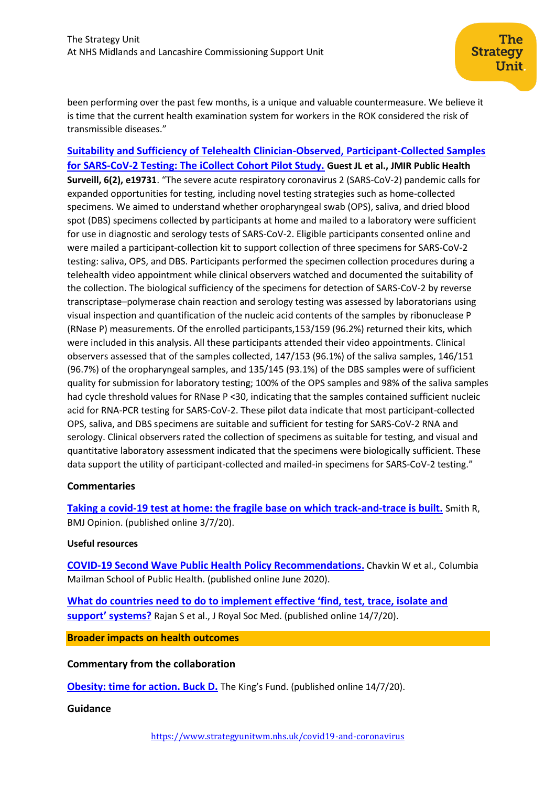been performing over the past few months, is a unique and valuable countermeasure. We believe it is time that the current health examination system for workers in the ROK considered the risk of transmissible diseases."

**[Suitability and Sufficiency of Telehealth Clinician-Observed, Participant-Collected Samples](https://www.ncbi.nlm.nih.gov/pmc/articles/PMC7318863/)  [for SARS-CoV-2 Testing: The iCollect Cohort Pilot Study.](https://www.ncbi.nlm.nih.gov/pmc/articles/PMC7318863/) Guest JL et al., JMIR Public Health Surveill, 6(2), e19731**. "The severe acute respiratory coronavirus 2 (SARS-CoV-2) pandemic calls for expanded opportunities for testing, including novel testing strategies such as home-collected specimens. We aimed to understand whether oropharyngeal swab (OPS), saliva, and dried blood spot (DBS) specimens collected by participants at home and mailed to a laboratory were sufficient for use in diagnostic and serology tests of SARS-CoV-2. Eligible participants consented online and were mailed a participant-collection kit to support collection of three specimens for SARS-CoV-2 testing: saliva, OPS, and DBS. Participants performed the specimen collection procedures during a telehealth video appointment while clinical observers watched and documented the suitability of the collection. The biological sufficiency of the specimens for detection of SARS-CoV-2 by reverse transcriptase–polymerase chain reaction and serology testing was assessed by laboratorians using visual inspection and quantification of the nucleic acid contents of the samples by ribonuclease P (RNase P) measurements. Of the enrolled participants,153/159 (96.2%) returned their kits, which were included in this analysis. All these participants attended their video appointments. Clinical observers assessed that of the samples collected, 147/153 (96.1%) of the saliva samples, 146/151 (96.7%) of the oropharyngeal samples, and 135/145 (93.1%) of the DBS samples were of sufficient quality for submission for laboratory testing; 100% of the OPS samples and 98% of the saliva samples had cycle threshold values for RNase P <30, indicating that the samples contained sufficient nucleic acid for RNA-PCR testing for SARS-CoV-2. These pilot data indicate that most participant-collected OPS, saliva, and DBS specimens are suitable and sufficient for testing for SARS-CoV-2 RNA and serology. Clinical observers rated the collection of specimens as suitable for testing, and visual and quantitative laboratory assessment indicated that the specimens were biologically sufficient. These data support the utility of participant-collected and mailed-in specimens for SARS-CoV-2 testing."

## **Commentaries**

**[Taking a covid-19 test at home: the fragile base on which track-and-trace is built.](https://blogs.bmj.com/bmj/2020/07/03/taking-a-covid-19-test-at-home-the-fragile-base-on-which-track-and-trace-is-built/)** Smith R, BMJ Opinion. (published online 3/7/20).

### **Useful resources**

**[COVID-19 Second Wave Public Health Policy Recommendations](https://www.publichealth.columbia.edu/sites/default/files/covid-19_second_wave_public_health_policy_recommendations-6.30pf.pdf).** Chavkin W et al., Columbia Mailman School of Public Health. (published online June 2020).

**[What do countries need to do to implement effective 'find, test, trace, isolate and](https://journals.sagepub.com/doi/full/10.1177/0141076820939395)  [support' s](https://journals.sagepub.com/doi/full/10.1177/0141076820939395)ystems?** Rajan S et al., J Royal Soc Med. (published online 14/7/20).

**Broader impacts on health outcomes**

### **Commentary from the collaboration**

**[Obesity: time for action. Buck D.](https://www.kingsfund.org.uk/blog/2020/07/obesity-time-action)** The King's Fund. (published online 14/7/20).

## **Guidance**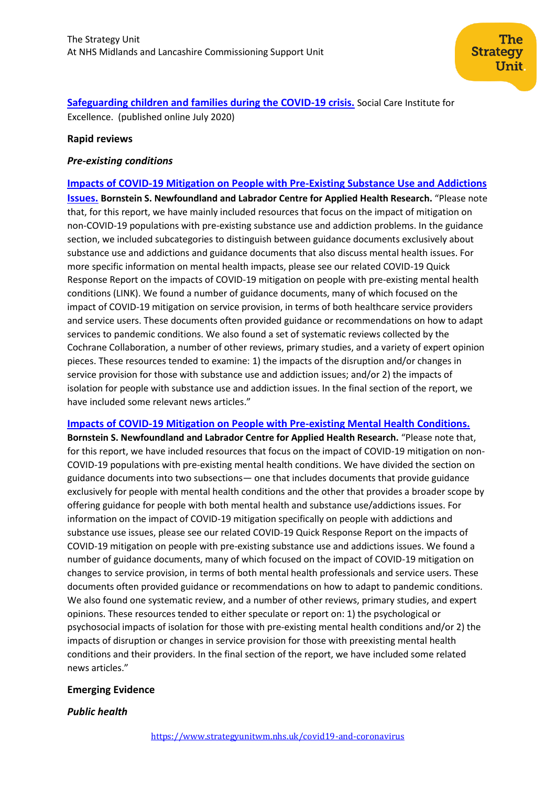**[Safeguarding children and families during the COVID-19 crisis.](https://www.scie.org.uk/care-providers/coronavirus-covid-19/safeguarding/children?utm_campaign=11670486_SCIELine%2013%20July&utm_medium=email&utm_source=SOCIAL%20CARE%20INSTITUTE%20FOR%20EXCELLENCE%20&utm_sfid=003G000001LrKpvIAF&utm_role=Information%20specialist%2F%20Librarian&dm_i=4O5,6Y506,C57OER,RYB5S,1)** Social Care Institute for Excellence. (published online July 2020)

### **Rapid reviews**

### *Pre-existing conditions*

**[Impacts of COVID-19 Mitigation on People with Pre-Existing Substance Use and Addictions](https://www.nccmt.ca/knowledge-repositories/covid-19-evidence-reviews/133) [Issues.](https://www.nccmt.ca/knowledge-repositories/covid-19-evidence-reviews/133) Bornstein S. Newfoundland and Labrador Centre for Applied Health Research.** "Please note that, for this report, we have mainly included resources that focus on the impact of mitigation on non-COVID-19 populations with pre-existing substance use and addiction problems. In the guidance section, we included subcategories to distinguish between guidance documents exclusively about substance use and addictions and guidance documents that also discuss mental health issues. For more specific information on mental health impacts, please see our related COVID-19 Quick Response Report on the impacts of COVID-19 mitigation on people with pre-existing mental health conditions (LINK). We found a number of guidance documents, many of which focused on the impact of COVID-19 mitigation on service provision, in terms of both healthcare service providers and service users. These documents often provided guidance or recommendations on how to adapt services to pandemic conditions. We also found a set of systematic reviews collected by the Cochrane Collaboration, a number of other reviews, primary studies, and a variety of expert opinion pieces. These resources tended to examine: 1) the impacts of the disruption and/or changes in service provision for those with substance use and addiction issues; and/or 2) the impacts of isolation for people with substance use and addiction issues. In the final section of the report, we have included some relevant news articles."

**[Impacts of COVID-19 Mitigation on People with Pre-existing Mental Health Conditions.](https://www.nlcahr.mun.ca/CHRSP/COVID19QRRMHealthJuly2020.pdf)**

**Bornstein S. Newfoundland and Labrador Centre for Applied Health Research.** "Please note that, for this report, we have included resources that focus on the impact of COVID-19 mitigation on non-COVID-19 populations with pre-existing mental health conditions. We have divided the section on guidance documents into two subsections— one that includes documents that provide guidance exclusively for people with mental health conditions and the other that provides a broader scope by offering guidance for people with both mental health and substance use/addictions issues. For information on the impact of COVID-19 mitigation specifically on people with addictions and substance use issues, please see our related COVID-19 Quick Response Report on the impacts of COVID-19 mitigation on people with pre-existing substance use and addictions issues. We found a number of guidance documents, many of which focused on the impact of COVID-19 mitigation on changes to service provision, in terms of both mental health professionals and service users. These documents often provided guidance or recommendations on how to adapt to pandemic conditions. We also found one systematic review, and a number of other reviews, primary studies, and expert opinions. These resources tended to either speculate or report on: 1) the psychological or psychosocial impacts of isolation for those with pre-existing mental health conditions and/or 2) the impacts of disruption or changes in service provision for those with preexisting mental health conditions and their providers. In the final section of the report, we have included some related news articles."

## **Emerging Evidence**

## *Public health*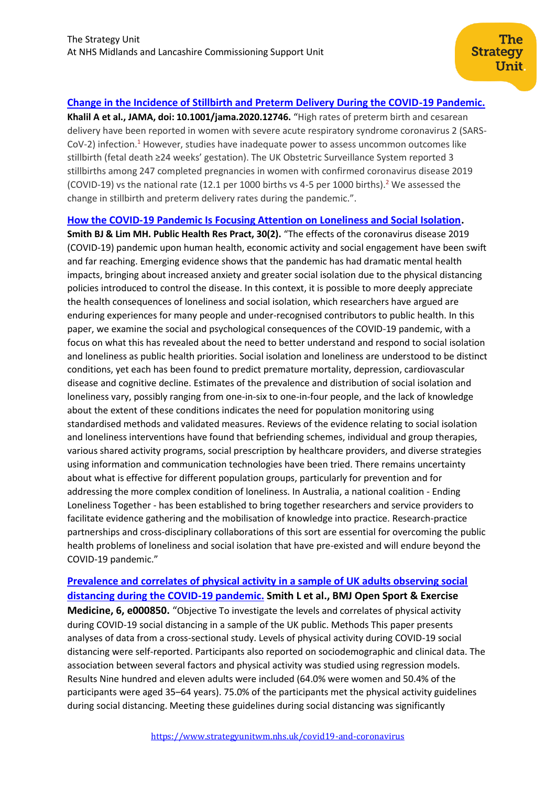## **[Change in the Incidence of Stillbirth and Preterm Delivery During the COVID-19 Pandemic.](https://jamanetwork.com/journals/jama/fullarticle/2768389)**

**Khalil A et al., JAMA, doi: 10.1001/jama.2020.12746.** "High rates of preterm birth and cesarean delivery have been reported in women with severe acute respiratory syndrome coronavirus 2 (SARS-CoV-2) infection.<sup>[1](https://jamanetwork.com/journals/jama/fullarticle/2768389#jld200076r1)</sup> However, studies have inadequate power to assess uncommon outcomes like stillbirth (fetal death ≥24 weeks' gestation). The UK Obstetric Surveillance System reported 3 stillbirths among 247 completed pregnancies in women with confirmed coronavirus disease 2019 (COVID-19) vs the national rate (1[2](https://jamanetwork.com/journals/jama/fullarticle/2768389#jld200076r2).1 per 1000 births vs 4-5 per 1000 births).<sup>2</sup> We assessed the change in stillbirth and preterm delivery rates during the pandemic.".

**[How the COVID-19 Pandemic Is Focusing Attention on Loneliness and Social Isolation.](https://pubmed.ncbi.nlm.nih.gov/32601651/)** 

**Smith BJ & Lim MH. Public Health Res Pract, 30(2).** "The effects of the coronavirus disease 2019 (COVID-19) pandemic upon human health, economic activity and social engagement have been swift and far reaching. Emerging evidence shows that the pandemic has had dramatic mental health impacts, bringing about increased anxiety and greater social isolation due to the physical distancing policies introduced to control the disease. In this context, it is possible to more deeply appreciate the health consequences of loneliness and social isolation, which researchers have argued are enduring experiences for many people and under-recognised contributors to public health. In this paper, we examine the social and psychological consequences of the COVID-19 pandemic, with a focus on what this has revealed about the need to better understand and respond to social isolation and loneliness as public health priorities. Social isolation and loneliness are understood to be distinct conditions, yet each has been found to predict premature mortality, depression, cardiovascular disease and cognitive decline. Estimates of the prevalence and distribution of social isolation and loneliness vary, possibly ranging from one-in-six to one-in-four people, and the lack of knowledge about the extent of these conditions indicates the need for population monitoring using standardised methods and validated measures. Reviews of the evidence relating to social isolation and loneliness interventions have found that befriending schemes, individual and group therapies, various shared activity programs, social prescription by healthcare providers, and diverse strategies using information and communication technologies have been tried. There remains uncertainty about what is effective for different population groups, particularly for prevention and for addressing the more complex condition of loneliness. In Australia, a national coalition - Ending Loneliness Together - has been established to bring together researchers and service providers to facilitate evidence gathering and the mobilisation of knowledge into practice. Research-practice partnerships and cross-disciplinary collaborations of this sort are essential for overcoming the public health problems of loneliness and social isolation that have pre-existed and will endure beyond the COVID-19 pandemic."

## **[Prevalence and correlates of physical activity in a sample of UK adults observing social](https://bmjopensem.bmj.com/content/bmjosem/6/1/e000850.full.pdf)  [distancing during the COVID-19 pandemic.](https://bmjopensem.bmj.com/content/bmjosem/6/1/e000850.full.pdf) Smith L et al., BMJ Open Sport & Exercise**

**Medicine, 6, e000850.** "Objective To investigate the levels and correlates of physical activity during COVID-19 social distancing in a sample of the UK public. Methods This paper presents analyses of data from a cross-sectional study. Levels of physical activity during COVID-19 social distancing were self-reported. Participants also reported on sociodemographic and clinical data. The association between several factors and physical activity was studied using regression models. Results Nine hundred and eleven adults were included (64.0% were women and 50.4% of the participants were aged 35–64 years). 75.0% of the participants met the physical activity guidelines during social distancing. Meeting these guidelines during social distancing was significantly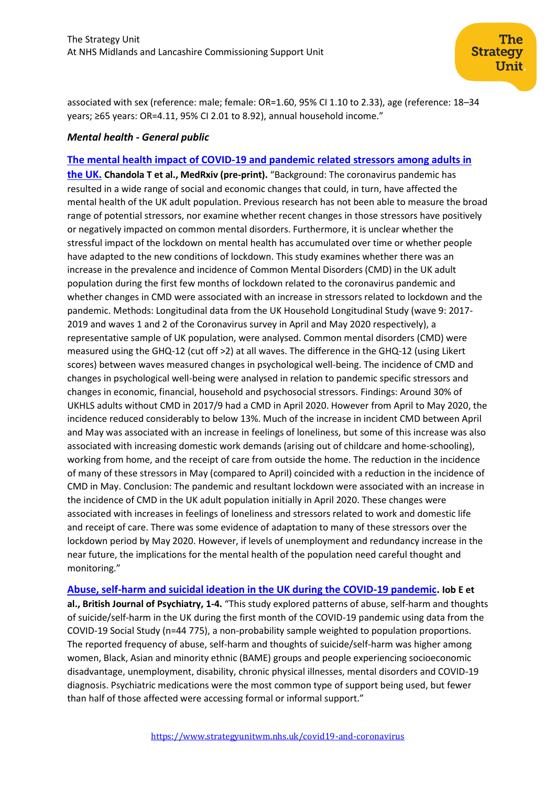associated with sex (reference: male; female: OR=1.60, 95% CI 1.10 to 2.33), age (reference: 18–34 years; ≥65 years: OR=4.11, 95% CI 2.01 to 8.92), annual household income."

## *Mental health - General public*

**[The mental health impact of COVID-19 and pandemic related stressors among adults in](https://www.medrxiv.org/content/10.1101/2020.07.05.20146738v1)  [the UK.](https://www.medrxiv.org/content/10.1101/2020.07.05.20146738v1) Chandola T et al., MedRxiv (pre-print).** "Background: The coronavirus pandemic has resulted in a wide range of social and economic changes that could, in turn, have affected the mental health of the UK adult population. Previous research has not been able to measure the broad range of potential stressors, nor examine whether recent changes in those stressors have positively or negatively impacted on common mental disorders. Furthermore, it is unclear whether the stressful impact of the lockdown on mental health has accumulated over time or whether people have adapted to the new conditions of lockdown. This study examines whether there was an increase in the prevalence and incidence of Common Mental Disorders (CMD) in the UK adult population during the first few months of lockdown related to the coronavirus pandemic and whether changes in CMD were associated with an increase in stressors related to lockdown and the pandemic. Methods: Longitudinal data from the UK Household Longitudinal Study (wave 9: 2017- 2019 and waves 1 and 2 of the Coronavirus survey in April and May 2020 respectively), a representative sample of UK population, were analysed. Common mental disorders (CMD) were measured using the GHQ-12 (cut off >2) at all waves. The difference in the GHQ-12 (using Likert scores) between waves measured changes in psychological well-being. The incidence of CMD and changes in psychological well-being were analysed in relation to pandemic specific stressors and changes in economic, financial, household and psychosocial stressors. Findings: Around 30% of UKHLS adults without CMD in 2017/9 had a CMD in April 2020. However from April to May 2020, the incidence reduced considerably to below 13%. Much of the increase in incident CMD between April and May was associated with an increase in feelings of loneliness, but some of this increase was also associated with increasing domestic work demands (arising out of childcare and home-schooling), working from home, and the receipt of care from outside the home. The reduction in the incidence of many of these stressors in May (compared to April) coincided with a reduction in the incidence of CMD in May. Conclusion: The pandemic and resultant lockdown were associated with an increase in the incidence of CMD in the UK adult population initially in April 2020. These changes were associated with increases in feelings of loneliness and stressors related to work and domestic life and receipt of care. There was some evidence of adaptation to many of these stressors over the lockdown period by May 2020. However, if levels of unemployment and redundancy increase in the near future, the implications for the mental health of the population need careful thought and monitoring."

**[Abuse, self-harm and suicidal ideation in the UK during the COVID-19 pandemic.](https://www.cambridge.org/core/services/aop-cambridge-core/content/view/692FD08F3AEFF45036535F5E9CEBAA00/S0007125020001300a.pdf/abuse_selfharm_and_suicidal_ideation_in_the_uk_during_the_covid19_pandemic.pdf) Iob E et al., British Journal of Psychiatry, 1-4.** "This study explored patterns of abuse, self-harm and thoughts of suicide/self-harm in the UK during the first month of the COVID-19 pandemic using data from the COVID-19 Social Study (n=44 775), a non-probability sample weighted to population proportions. The reported frequency of abuse, self-harm and thoughts of suicide/self-harm was higher among women, Black, Asian and minority ethnic (BAME) groups and people experiencing socioeconomic disadvantage, unemployment, disability, chronic physical illnesses, mental disorders and COVID-19 diagnosis. Psychiatric medications were the most common type of support being used, but fewer than half of those affected were accessing formal or informal support."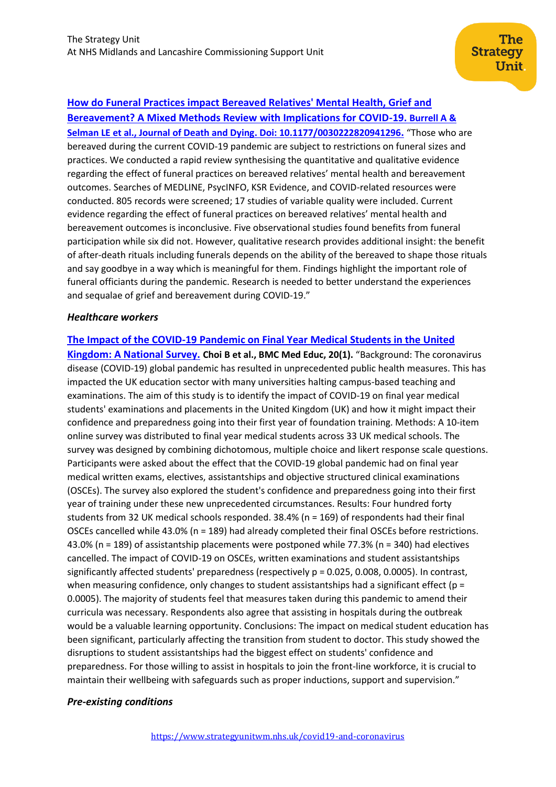**[How do Funeral Practices impact Bereaved Relatives' Mental Health, Grief and](https://journals.sagepub.com/doi/full/10.1177/0030222820941296)  [Bereavement? A Mixed Methods Review with Implications for COVID-19.](https://journals.sagepub.com/doi/full/10.1177/0030222820941296) Burrell A & [Selman LE et al., Journal of Death and Dying. Doi: 10.1177/0030222820941296](https://journals.sagepub.com/doi/full/10.1177/0030222820941296).** "Those who are bereaved during the current COVID-19 pandemic are subject to restrictions on funeral sizes and practices. We conducted a rapid review synthesising the quantitative and qualitative evidence regarding the effect of funeral practices on bereaved relatives' mental health and bereavement outcomes. Searches of MEDLINE, PsycINFO, KSR Evidence, and COVID-related resources were conducted. 805 records were screened; 17 studies of variable quality were included. Current evidence regarding the effect of funeral practices on bereaved relatives' mental health and bereavement outcomes is inconclusive. Five observational studies found benefits from funeral participation while six did not. However, qualitative research provides additional insight: the benefit of after-death rituals including funerals depends on the ability of the bereaved to shape those rituals and say goodbye in a way which is meaningful for them. Findings highlight the important role of funeral officiants during the pandemic. Research is needed to better understand the experiences and sequalae of grief and bereavement during COVID-19."

## *Healthcare workers*

**[Kingdom: A National Survey.](https://pubmed.ncbi.nlm.nih.gov/32600460/) Choi B et al., BMC Med Educ, 20(1).** "Background: The coronavirus disease (COVID-19) global pandemic has resulted in unprecedented public health measures. This has impacted the UK education sector with many universities halting campus-based teaching and examinations. The aim of this study is to identify the impact of COVID-19 on final year medical students' examinations and placements in the United Kingdom (UK) and how it might impact their confidence and preparedness going into their first year of foundation training. Methods: A 10-item online survey was distributed to final year medical students across 33 UK medical schools. The survey was designed by combining dichotomous, multiple choice and likert response scale questions. Participants were asked about the effect that the COVID-19 global pandemic had on final year medical written exams, electives, assistantships and objective structured clinical examinations (OSCEs). The survey also explored the student's confidence and preparedness going into their first year of training under these new unprecedented circumstances. Results: Four hundred forty students from 32 UK medical schools responded. 38.4% (n = 169) of respondents had their final OSCEs cancelled while 43.0% (n = 189) had already completed their final OSCEs before restrictions. 43.0% (n = 189) of assistantship placements were postponed while 77.3% (n = 340) had electives cancelled. The impact of COVID-19 on OSCEs, written examinations and student assistantships significantly affected students' preparedness (respectively p = 0.025, 0.008, 0.0005). In contrast,

**[The Impact of the COVID-19 Pandemic on Final Year Medical Students in the United](https://pubmed.ncbi.nlm.nih.gov/32600460/)** 

when measuring confidence, only changes to student assistantships had a significant effect ( $p =$ 0.0005). The majority of students feel that measures taken during this pandemic to amend their curricula was necessary. Respondents also agree that assisting in hospitals during the outbreak would be a valuable learning opportunity. Conclusions: The impact on medical student education has been significant, particularly affecting the transition from student to doctor. This study showed the disruptions to student assistantships had the biggest effect on students' confidence and preparedness. For those willing to assist in hospitals to join the front-line workforce, it is crucial to maintain their wellbeing with safeguards such as proper inductions, support and supervision."

### *Pre-existing conditions*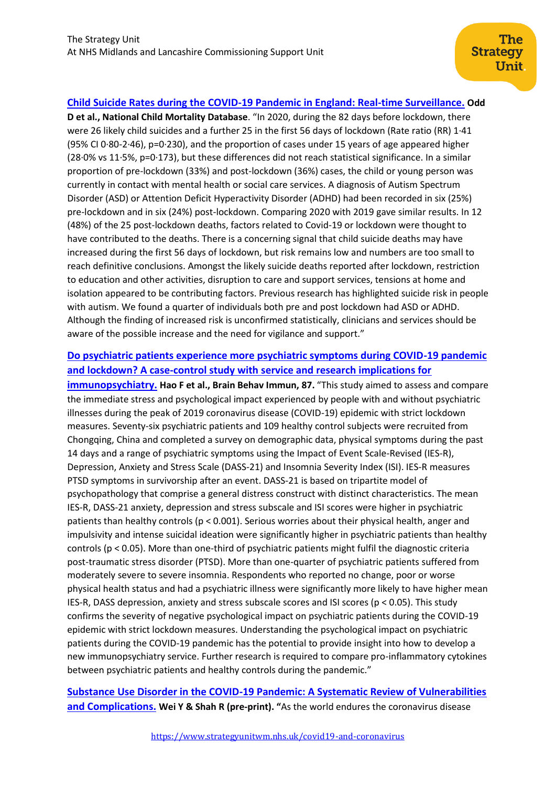## **[Child Suicide Rates during the COVID-19 Pandemic in England: Real-time Surveillance.](https://www.ncmd.info/wp-content/uploads/2020/07/REF253-2020-NCMD-Summary-Report-on-Child-Suicide-July-2020.pdf) Odd**

**D et al., National Child Mortality Database**. "In 2020, during the 82 days before lockdown, there were 26 likely child suicides and a further 25 in the first 56 days of lockdown (Rate ratio (RR) 1·41 (95% CI 0·80-2·46), p=0·230), and the proportion of cases under 15 years of age appeared higher (28·0% vs 11·5%, p=0·173), but these differences did not reach statistical significance. In a similar proportion of pre-lockdown (33%) and post-lockdown (36%) cases, the child or young person was currently in contact with mental health or social care services. A diagnosis of Autism Spectrum Disorder (ASD) or Attention Deficit Hyperactivity Disorder (ADHD) had been recorded in six (25%) pre-lockdown and in six (24%) post-lockdown. Comparing 2020 with 2019 gave similar results. In 12 (48%) of the 25 post-lockdown deaths, factors related to Covid-19 or lockdown were thought to have contributed to the deaths. There is a concerning signal that child suicide deaths may have increased during the first 56 days of lockdown, but risk remains low and numbers are too small to reach definitive conclusions. Amongst the likely suicide deaths reported after lockdown, restriction to education and other activities, disruption to care and support services, tensions at home and isolation appeared to be contributing factors. Previous research has highlighted suicide risk in people with autism. We found a quarter of individuals both pre and post lockdown had ASD or ADHD. Although the finding of increased risk is unconfirmed statistically, clinicians and services should be aware of the possible increase and the need for vigilance and support."

## **[Do psychiatric patients experience more psychiatric symptoms during COVID-19 pandemic](https://www.ncbi.nlm.nih.gov/pmc/articles/PMC7184991/)  [and lockdown? A case-control study with](https://www.ncbi.nlm.nih.gov/pmc/articles/PMC7184991/) service and research implications for**

**[immunopsychiatry.](https://www.ncbi.nlm.nih.gov/pmc/articles/PMC7184991/) Hao F et al., Brain Behav Immun, 87.** "This study aimed to assess and compare the immediate stress and psychological impact experienced by people with and without psychiatric illnesses during the peak of 2019 coronavirus disease (COVID-19) epidemic with strict lockdown measures. Seventy-six psychiatric patients and 109 healthy control subjects were recruited from Chongqing, China and completed a survey on demographic data, physical symptoms during the past 14 days and a range of psychiatric symptoms using the Impact of Event Scale-Revised (IES-R), Depression, Anxiety and Stress Scale (DASS-21) and Insomnia Severity Index (ISI). IES-R measures PTSD symptoms in survivorship after an event. DASS-21 is based on tripartite model of psychopathology that comprise a general distress construct with distinct characteristics. The mean IES-R, DASS-21 anxiety, depression and stress subscale and ISI scores were higher in psychiatric patients than healthy controls (p < 0.001). Serious worries about their physical health, anger and impulsivity and intense suicidal ideation were significantly higher in psychiatric patients than healthy controls (p < 0.05). More than one-third of psychiatric patients might fulfil the diagnostic criteria post-traumatic stress disorder (PTSD). More than one-quarter of psychiatric patients suffered from moderately severe to severe insomnia. Respondents who reported no change, poor or worse physical health status and had a psychiatric illness were significantly more likely to have higher mean IES-R, DASS depression, anxiety and stress subscale scores and ISI scores (p < 0.05). This study confirms the severity of negative psychological impact on psychiatric patients during the COVID-19 epidemic with strict lockdown measures. Understanding the psychological impact on psychiatric patients during the COVID-19 pandemic has the potential to provide insight into how to develop a new immunopsychiatry service. Further research is required to compare pro-inflammatory cytokines between psychiatric patients and healthy controls during the pandemic."

## **[Substance Use Disorder in the COVID-19 Pandemic: A Systematic Review of Vulnerabilities](https://www.preprints.org/manuscript/202007.0061/v1)  [and Complications.](https://www.preprints.org/manuscript/202007.0061/v1) Wei Y & Shah R (pre-print). "**As the world endures the coronavirus disease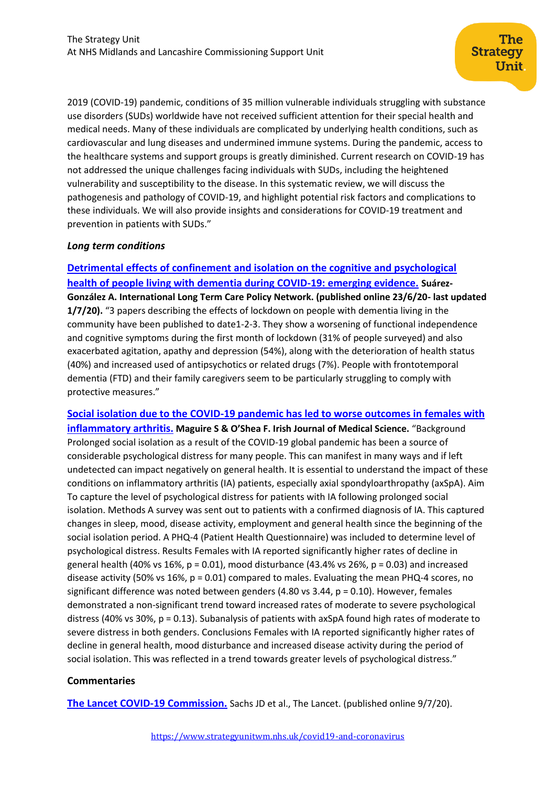2019 (COVID-19) pandemic, conditions of 35 million vulnerable individuals struggling with substance use disorders (SUDs) worldwide have not received sufficient attention for their special health and medical needs. Many of these individuals are complicated by underlying health conditions, such as cardiovascular and lung diseases and undermined immune systems. During the pandemic, access to the healthcare systems and support groups is greatly diminished. Current research on COVID-19 has not addressed the unique challenges facing individuals with SUDs, including the heightened vulnerability and susceptibility to the disease. In this systematic review, we will discuss the pathogenesis and pathology of COVID-19, and highlight potential risk factors and complications to these individuals. We will also provide insights and considerations for COVID-19 treatment and prevention in patients with SUDs."

### *Long term conditions*

**[Detrimental effects of confinement and isolation on the cognitive and psychological](https://ltccovid.org/wp-content/uploads/2020/07/LTCcovid-1-July-Detrimental-effects-confinement-on-people-with-dementia.pdf)  [health of people living with dementia during COVID-19: emerging evidence.](https://ltccovid.org/wp-content/uploads/2020/07/LTCcovid-1-July-Detrimental-effects-confinement-on-people-with-dementia.pdf) Suárez-González A. International Long Term Care Policy Network. (published online 23/6/20- last updated 1/7/20).** "3 papers describing the effects of lockdown on people with dementia living in the community have been published to date1-2-3. They show a worsening of functional independence and cognitive symptoms during the first month of lockdown (31% of people surveyed) and also exacerbated agitation, apathy and depression (54%), along with the deterioration of health status (40%) and increased used of antipsychotics or related drugs (7%). People with frontotemporal dementia (FTD) and their family caregivers seem to be particularly struggling to comply with protective measures."

**[Social isolation due to the COVID-19 pandemic has led to worse outcomes in females with](https://link.springer.com/content/pdf/10.1007/s11845-020-02307-2.pdf)  [inflammatory arthritis.](https://link.springer.com/content/pdf/10.1007/s11845-020-02307-2.pdf) Maguire S & O'Shea F. Irish Journal of Medical Science.** "Background Prolonged social isolation as a result of the COVID-19 global pandemic has been a source of considerable psychological distress for many people. This can manifest in many ways and if left undetected can impact negatively on general health. It is essential to understand the impact of these conditions on inflammatory arthritis (IA) patients, especially axial spondyloarthropathy (axSpA). Aim To capture the level of psychological distress for patients with IA following prolonged social isolation. Methods A survey was sent out to patients with a confirmed diagnosis of IA. This captured changes in sleep, mood, disease activity, employment and general health since the beginning of the social isolation period. A PHQ-4 (Patient Health Questionnaire) was included to determine level of psychological distress. Results Females with IA reported significantly higher rates of decline in general health (40% vs 16%,  $p = 0.01$ ), mood disturbance (43.4% vs 26%,  $p = 0.03$ ) and increased disease activity (50% vs 16%,  $p = 0.01$ ) compared to males. Evaluating the mean PHQ-4 scores, no significant difference was noted between genders (4.80 vs 3.44, p = 0.10). However, females demonstrated a non-significant trend toward increased rates of moderate to severe psychological distress (40% vs 30%, p = 0.13). Subanalysis of patients with axSpA found high rates of moderate to severe distress in both genders. Conclusions Females with IA reported significantly higher rates of decline in general health, mood disturbance and increased disease activity during the period of social isolation. This was reflected in a trend towards greater levels of psychological distress."

## **Commentaries**

**[The Lancet COVID-19 Commission.](https://www.thelancet.com/journals/lancet/article/PIIS0140-6736(20)31494-X/fulltext)** Sachs JD et al., The Lancet. (published online 9/7/20).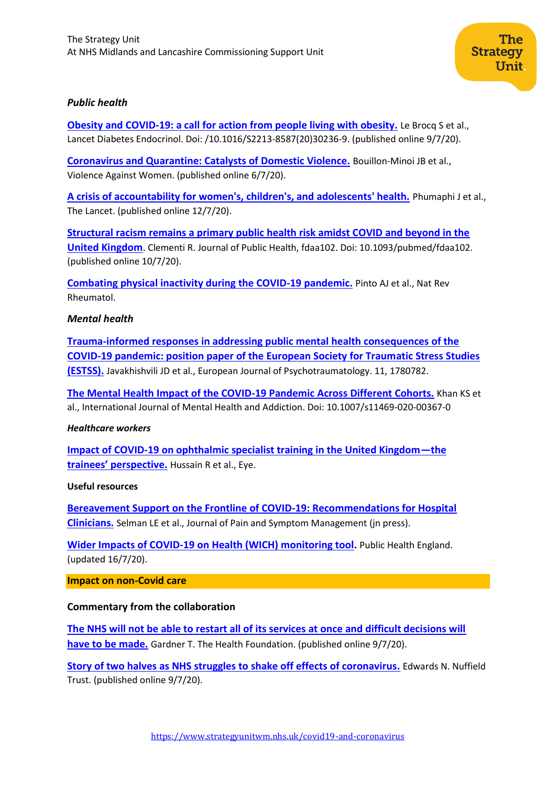

**[Obesity and COVID-19: a call for action from people living with obesity.](https://www.thelancet.com/pdfs/journals/landia/PIIS2213-8587(20)30236-9.pdf)** Le Brocq S et al., Lancet Diabetes Endocrinol. Doi: /10.1016/S2213-8587(20)30236-9. (published online 9/7/20).

The

**Unit** 

**Strategy** 

**[Coronavirus and Quarantine: Catalysts of Domestic Violence.](https://journals.sagepub.com/doi/full/10.1177/1077801220935194)** Bouillon-Minoi JB et al., Violence Against Women. (published online 6/7/20).

**[A crisis of accountability for women's, children's, and adolescents' health.](https://www.thelancet.com/journals/lancet/article/PIIS0140-6736(20)31520-8/fulltext)** Phumaphi J et al., The Lancet. (published online 12/7/20).

**[Structural racism remains a primary public health risk amidst COVID and beyond in the](https://academic.oup.com/jpubhealth/article/doi/10.1093/pubmed/fdaa102/5869604?searchresult=1)  [United Kingdom](https://academic.oup.com/jpubhealth/article/doi/10.1093/pubmed/fdaa102/5869604?searchresult=1)**. Clementi R. Journal of Public Health, fdaa102. Doi: 10.1093/pubmed/fdaa102. (published online 10/7/20).

**[Combating physical inactivity during the COVID-19 pandemic.](https://www.ncbi.nlm.nih.gov/pmc/articles/PMC7191971/)** Pinto AJ et al., Nat Rev Rheumatol.

### *Mental health*

**[Trauma-informed responses in addressing public mental health consequences of the](https://www.tandfonline.com/doi/pdf/10.1080/20008198.2020.1780782)  [COVID-19 pandemic: position paper of the European Society for Traumatic Stress Studies](https://www.tandfonline.com/doi/pdf/10.1080/20008198.2020.1780782)  [\(ESTSS\).](https://www.tandfonline.com/doi/pdf/10.1080/20008198.2020.1780782)** Javakhishvili JD et al., European Journal of Psychotraumatology. 11, 1780782.

**[The Mental Health Impact of the COVID-19 Pandemic Across Different Cohorts.](https://link.springer.com/content/pdf/10.1007/s11469-020-00367-0.pdf)** Khan KS et al., International Journal of Mental Health and Addiction. Doi: 10.1007/s11469-020-00367-0

#### *Healthcare workers*

**[Impact of COVID-19 on ophthalmic specialist training in the United Kingdom](https://www.nature.com/articles/s41433-020-1034-6)—the [trainees' perspective.](https://www.nature.com/articles/s41433-020-1034-6)** Hussain R et al., Eye.

#### **Useful resources**

**[Bereavement Support on the Frontline of COVID-19: Recommendations for Hospital](https://www.jpsmjournal.com/article/S0885-3924(20)30244-X/pdf)  [Clinicians.](https://www.jpsmjournal.com/article/S0885-3924(20)30244-X/pdf)** Selman LE et al., Journal of Pain and Symptom Management (jn press).

**[Wider Impacts of COVID-19 on Health \(WICH\) monitoring tool.](https://analytics.phe.gov.uk/apps/covid-19-indirect-effects/)** Public Health England. (updated 16/7/20).

#### **Impact on non-Covid care**

### **Commentary from the collaboration**

**[The NHS will not be able to restart all of its services at once and difficult decisions will](https://www.health.org.uk/news-and-comment/news/the-nhs-will-not-be-able-to-restart-all-of-its-services-at-once)  [have to be made.](https://www.health.org.uk/news-and-comment/news/the-nhs-will-not-be-able-to-restart-all-of-its-services-at-once)** Gardner T. The Health Foundation. (published online 9/7/20).

**[Story of two halves as NHS struggles to shake off effects of coronavirus.](https://www.nuffieldtrust.org.uk/news-item/story-of-two-halves-as-nhs-struggles-to-shake-off-effects-of-coronavirus)** Edwards N. Nuffield Trust. (published online 9/7/20).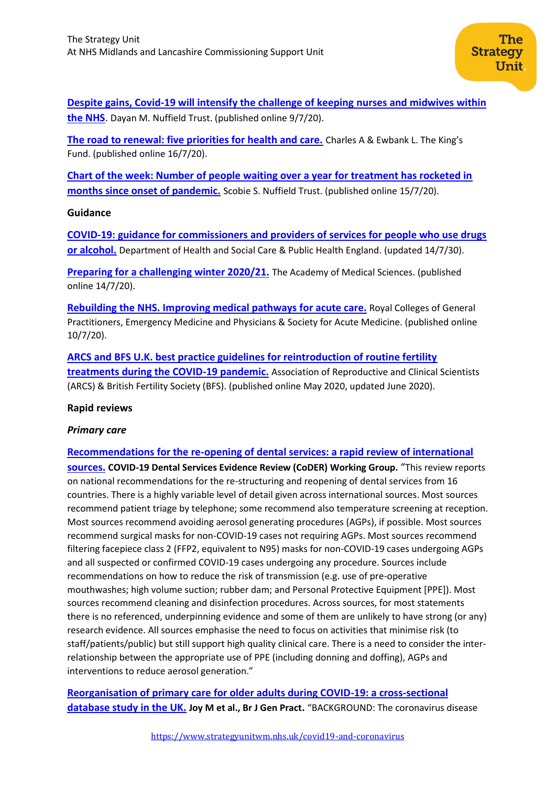**[Despite gains, Covid-19 will intensify the challenge of keeping nurses and midwives within](nuffieldtrust.org.uk/news-item/despite-gains-covid-19-will-intensify-the-challenge-of-keeping-nurses-and-midwives-within-the-nhs)  [the NHS](nuffieldtrust.org.uk/news-item/despite-gains-covid-19-will-intensify-the-challenge-of-keeping-nurses-and-midwives-within-the-nhs)**. Dayan M. Nuffield Trust. (published online 9/7/20).

**[The road to renewal: five priorities for health and care.](https://www.kingsfund.org.uk/publications/covid-19-road-renewal-health-and-care?utm_source=The%20King%27s%20Fund%20newsletters%20%28main%20account%29&utm_medium=email&utm_campaign=11685888_MKPUB_road%20to%20renewal%20long%20read%20engagement%20leads%202020-07-16&utm_content=top%20btn&dm_i=21A8,6YGW0,V11TUY,RZVOG,1)** Charles A & Ewbank L. The King's Fund. (published online 16/7/20).

**[Chart of the week: Number of people waiting over a year for treatment has rocketed in](https://www.nuffieldtrust.org.uk/resource/chart-of-the-week-number-of-people-waiting-over-a-year-for-treatment-has-rocketed-in-months-since-onset-of-pandemic)  [months since onset of pandemic.](https://www.nuffieldtrust.org.uk/resource/chart-of-the-week-number-of-people-waiting-over-a-year-for-treatment-has-rocketed-in-months-since-onset-of-pandemic)** Scobie S. Nuffield Trust. (published online 15/7/20).

## **Guidance**

**[COVID-19: guidance for commissioners and providers of services for people who use drugs](https://www.gov.uk/government/publications/covid-19-guidance-for-commissioners-and-providers-of-services-for-people-who-use-drugs-or-alcohol/covid-19-guidance-for-commissioners-and-providers-of-services-for-people-who-use-drugs-or-alcohol#alcohol-harm-reduction-and-detoxification)  [or alcohol.](https://www.gov.uk/government/publications/covid-19-guidance-for-commissioners-and-providers-of-services-for-people-who-use-drugs-or-alcohol/covid-19-guidance-for-commissioners-and-providers-of-services-for-people-who-use-drugs-or-alcohol#alcohol-harm-reduction-and-detoxification)** Department of Health and Social Care & Public Health England. (updated 14/7/30).

**[Preparing for a challenging winter 2020/21.](https://acmedsci.ac.uk/file-download/51353957?utm_source=The%20King%27s%20Fund%20newsletters%20%28main%20account%29&utm_medium=email&utm_campaign=11671188_NEWSL_HMP%202020-07-14&dm_i=21A8,6Y5JO,FLX5Q6,RZCV1,1)** The Academy of Medical Sciences. (published online 14/7/20).

**[Rebuilding the NHS. Improving medical pathways for acute care.](https://www.rcplondon.ac.uk/guidelines-policy/rebuilding-nhs-improving-medical-pathways-acute-care)** Royal Colleges of General Practitioners, Emergency Medicine and Physicians & Society for Acute Medicine. (published online 10/7/20).

**[ARCS and BFS U.K. best practice guidelines for reintroduction of routine fertility](https://www.britishfertilitysociety.org.uk/2020/05/06/arcs-and-bfs-u-k-best-practice-guidelines-for-reintroduction-of-routine-fertility-treatments-during-the-covid-19-pandemic/)  [treatments during the COVID-19 pandemic.](https://www.britishfertilitysociety.org.uk/2020/05/06/arcs-and-bfs-u-k-best-practice-guidelines-for-reintroduction-of-routine-fertility-treatments-during-the-covid-19-pandemic/)** Association of Reproductive and Clinical Scientists (ARCS) & British Fertility Society (BFS). (published online May 2020, updated June 2020).

## **Rapid reviews**

## *Primary care*

**[Recommendations for the re-opening of dental services: a rapid review of international](https://oralhealth.cochrane.org/sites/oralhealth.cochrane.org/files/public/uploads/covid19_dental_review_16_may_2020_update.pdf)  [sources.](https://oralhealth.cochrane.org/sites/oralhealth.cochrane.org/files/public/uploads/covid19_dental_review_16_may_2020_update.pdf) COVID-19 Dental Services Evidence Review (CoDER) Working Group.** "This review reports on national recommendations for the re-structuring and reopening of dental services from 16 countries. There is a highly variable level of detail given across international sources. Most sources recommend patient triage by telephone; some recommend also temperature screening at reception. Most sources recommend avoiding aerosol generating procedures (AGPs), if possible. Most sources recommend surgical masks for non-COVID-19 cases not requiring AGPs. Most sources recommend filtering facepiece class 2 (FFP2, equivalent to N95) masks for non-COVID-19 cases undergoing AGPs and all suspected or confirmed COVID-19 cases undergoing any procedure. Sources include recommendations on how to reduce the risk of transmission (e.g. use of pre-operative mouthwashes; high volume suction; rubber dam; and Personal Protective Equipment [PPE]). Most sources recommend cleaning and disinfection procedures. Across sources, for most statements there is no referenced, underpinning evidence and some of them are unlikely to have strong (or any) research evidence. All sources emphasise the need to focus on activities that minimise risk (to staff/patients/public) but still support high quality clinical care. There is a need to consider the interrelationship between the appropriate use of PPE (including donning and doffing), AGPs and interventions to reduce aerosol generation."

**[Reorganisation of primary care for older adults during COVID-19: a cross-sectional](https://www.ncbi.nlm.nih.gov/research/coronavirus/publication/32661009)  [database study in the UK.](https://www.ncbi.nlm.nih.gov/research/coronavirus/publication/32661009) Joy M et al., Br J Gen Pract.** "BACKGROUND: The coronavirus disease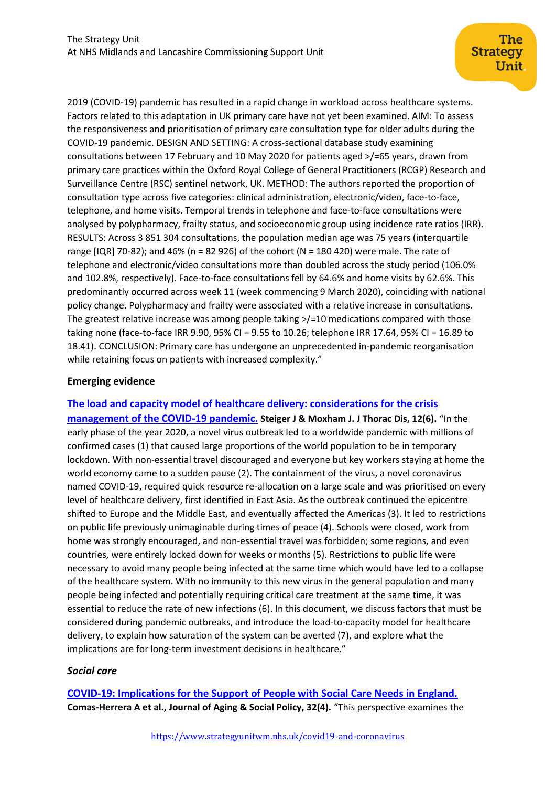2019 (COVID-19) pandemic has resulted in a rapid change in workload across healthcare systems. Factors related to this adaptation in UK primary care have not yet been examined. AIM: To assess the responsiveness and prioritisation of primary care consultation type for older adults during the COVID-19 pandemic. DESIGN AND SETTING: A cross-sectional database study examining consultations between 17 February and 10 May 2020 for patients aged >/=65 years, drawn from primary care practices within the Oxford Royal College of General Practitioners (RCGP) Research and Surveillance Centre (RSC) sentinel network, UK. METHOD: The authors reported the proportion of consultation type across five categories: clinical administration, electronic/video, face-to-face, telephone, and home visits. Temporal trends in telephone and face-to-face consultations were analysed by polypharmacy, frailty status, and socioeconomic group using incidence rate ratios (IRR). RESULTS: Across 3 851 304 consultations, the population median age was 75 years (interquartile range [IQR] 70-82); and 46% (n = 82 926) of the cohort (N = 180 420) were male. The rate of telephone and electronic/video consultations more than doubled across the study period (106.0% and 102.8%, respectively). Face-to-face consultations fell by 64.6% and home visits by 62.6%. This predominantly occurred across week 11 (week commencing 9 March 2020), coinciding with national policy change. Polypharmacy and frailty were associated with a relative increase in consultations. The greatest relative increase was among people taking >/=10 medications compared with those taking none (face-to-face IRR 9.90, 95% CI = 9.55 to 10.26; telephone IRR 17.64, 95% CI = 16.89 to 18.41). CONCLUSION: Primary care has undergone an unprecedented in-pandemic reorganisation while retaining focus on patients with increased complexity."

## **Emerging evidence**

**[The load and capacity model of healthcare delivery: considerations for the crisis](https://www.ncbi.nlm.nih.gov/pmc/articles/PMC7330742/)  [management of the COVID-19 pandemic.](https://www.ncbi.nlm.nih.gov/pmc/articles/PMC7330742/) Steiger J & Moxham J. J Thorac Dis, 12(6).** "In the early phase of the year 2020, a novel virus outbreak led to a worldwide pandemic with millions of confirmed cases (1) that caused large proportions of the world population to be in temporary lockdown. With non-essential travel discouraged and everyone but key workers staying at home the world economy came to a sudden pause (2). The containment of the virus, a novel coronavirus named COVID-19, required quick resource re-allocation on a large scale and was prioritised on every level of healthcare delivery, first identified in East Asia. As the outbreak continued the epicentre shifted to Europe and the Middle East, and eventually affected the Americas (3). It led to restrictions on public life previously unimaginable during times of peace (4). Schools were closed, work from home was strongly encouraged, and non-essential travel was forbidden; some regions, and even countries, were entirely locked down for weeks or months (5). Restrictions to public life were necessary to avoid many people being infected at the same time which would have led to a collapse of the healthcare system. With no immunity to this new virus in the general population and many people being infected and potentially requiring critical care treatment at the same time, it was essential to reduce the rate of new infections (6). In this document, we discuss factors that must be considered during pandemic outbreaks, and introduce the load-to-capacity model for healthcare delivery, to explain how saturation of the system can be averted (7), and explore what the implications are for long-term investment decisions in healthcare."

## *Social care*

**[COVID-19: Implications for the Support of People with Social Care Needs in England.](https://www.tandfonline.com/doi/full/10.1080/08959420.2020.1759759) Comas-Herrera A et al., Journal of Aging & Social Policy, 32(4).** "This perspective examines the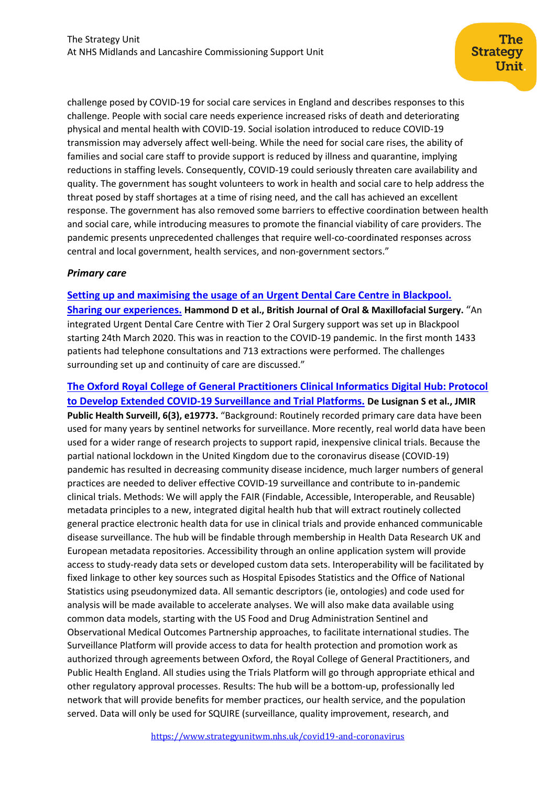challenge posed by COVID-19 for social care services in England and describes responses to this challenge. People with social care needs experience increased risks of death and deteriorating physical and mental health with COVID-19. Social isolation introduced to reduce COVID-19 transmission may adversely affect well-being. While the need for social care rises, the ability of families and social care staff to provide support is reduced by illness and quarantine, implying reductions in staffing levels. Consequently, COVID-19 could seriously threaten care availability and quality. The government has sought volunteers to work in health and social care to help address the threat posed by staff shortages at a time of rising need, and the call has achieved an excellent response. The government has also removed some barriers to effective coordination between health and social care, while introducing measures to promote the financial viability of care providers. The pandemic presents unprecedented challenges that require well-co-coordinated responses across central and local government, health services, and non-government sectors."

## *Primary care*

### **[Setting up and maximising the usage of an Urgent Dental Care Centre in Blackpool.](https://www.bjoms.com/article/S0266-4356(20)30211-4/pdf)**

**[Sharing our experiences.](https://www.bjoms.com/article/S0266-4356(20)30211-4/pdf) Hammond D et al., British Journal of Oral & Maxillofacial Surgery.** "An integrated Urgent Dental Care Centre with Tier 2 Oral Surgery support was set up in Blackpool starting 24th March 2020. This was in reaction to the COVID-19 pandemic. In the first month 1433 patients had telephone consultations and 713 extractions were performed. The challenges surrounding set up and continuity of care are discussed."

**[The Oxford Royal College of General Practitioners Clinical Informatics Digital Hub: Protocol](https://pubmed.ncbi.nlm.nih.gov/32484782/)  [to Develop Extended COVID-19 Surveillance and Trial Platforms.](https://pubmed.ncbi.nlm.nih.gov/32484782/) De Lusignan S et al., JMIR Public Health Surveill, 6(3), e19773.** "Background: Routinely recorded primary care data have been used for many years by sentinel networks for surveillance. More recently, real world data have been used for a wider range of research projects to support rapid, inexpensive clinical trials. Because the partial national lockdown in the United Kingdom due to the coronavirus disease (COVID-19) pandemic has resulted in decreasing community disease incidence, much larger numbers of general practices are needed to deliver effective COVID-19 surveillance and contribute to in-pandemic clinical trials. Methods: We will apply the FAIR (Findable, Accessible, Interoperable, and Reusable) metadata principles to a new, integrated digital health hub that will extract routinely collected general practice electronic health data for use in clinical trials and provide enhanced communicable disease surveillance. The hub will be findable through membership in Health Data Research UK and European metadata repositories. Accessibility through an online application system will provide access to study-ready data sets or developed custom data sets. Interoperability will be facilitated by fixed linkage to other key sources such as Hospital Episodes Statistics and the Office of National Statistics using pseudonymized data. All semantic descriptors (ie, ontologies) and code used for analysis will be made available to accelerate analyses. We will also make data available using common data models, starting with the US Food and Drug Administration Sentinel and Observational Medical Outcomes Partnership approaches, to facilitate international studies. The Surveillance Platform will provide access to data for health protection and promotion work as authorized through agreements between Oxford, the Royal College of General Practitioners, and Public Health England. All studies using the Trials Platform will go through appropriate ethical and other regulatory approval processes. Results: The hub will be a bottom-up, professionally led network that will provide benefits for member practices, our health service, and the population served. Data will only be used for SQUIRE (surveillance, quality improvement, research, and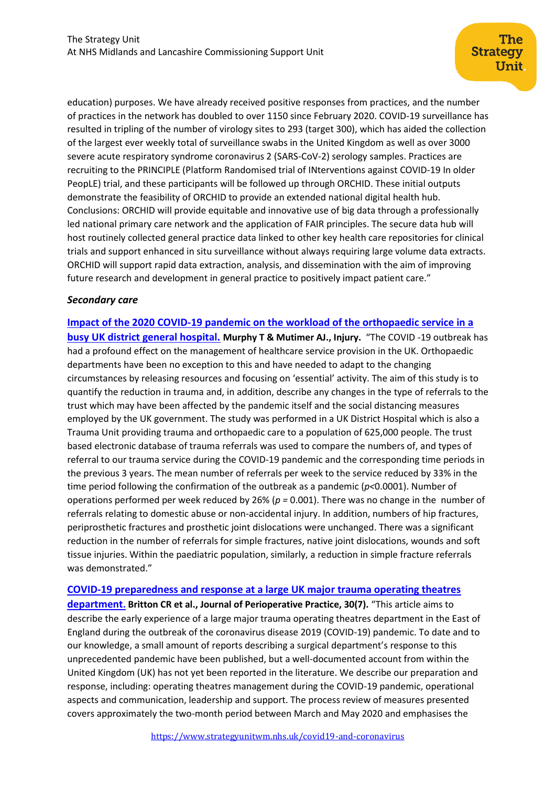education) purposes. We have already received positive responses from practices, and the number of practices in the network has doubled to over 1150 since February 2020. COVID-19 surveillance has resulted in tripling of the number of virology sites to 293 (target 300), which has aided the collection of the largest ever weekly total of surveillance swabs in the United Kingdom as well as over 3000 severe acute respiratory syndrome coronavirus 2 (SARS-CoV-2) serology samples. Practices are recruiting to the PRINCIPLE (Platform Randomised trial of INterventions against COVID-19 In older PeopLE) trial, and these participants will be followed up through ORCHID. These initial outputs demonstrate the feasibility of ORCHID to provide an extended national digital health hub. Conclusions: ORCHID will provide equitable and innovative use of big data through a professionally led national primary care network and the application of FAIR principles. The secure data hub will host routinely collected general practice data linked to other key health care repositories for clinical trials and support enhanced in situ surveillance without always requiring large volume data extracts. ORCHID will support rapid data extraction, analysis, and dissemination with the aim of improving future research and development in general practice to positively impact patient care."

## *Secondary care*

**[Impact of the 2020 COVID-19 pandemic on the workload of the orthopaedic service in a](https://www.injuryjournal.com/article/S0020-1383(20)30560-X/pdf)  [busy UK district general hospital.](https://www.injuryjournal.com/article/S0020-1383(20)30560-X/pdf) Murphy T & Mutimer AJ., Injury.** "The COVID -19 outbreak has had a profound effect on the management of healthcare service provision in the UK. Orthopaedic departments have been no exception to this and have needed to adapt to the changing circumstances by releasing resources and focusing on 'essential' activity. The aim of this study is to quantify the reduction in trauma and, in addition, describe any changes in the type of referrals to the trust which may have been affected by the pandemic itself and the social distancing measures employed by the UK government. The study was performed in a UK District Hospital which is also a Trauma Unit providing trauma and orthopaedic care to a population of 625,000 people. The trust based electronic database of trauma referrals was used to compare the numbers of, and types of referral to our trauma service during the COVID-19 pandemic and the corresponding time periods in the previous 3 years. The mean number of referrals per week to the service reduced by 33% in the time period following the confirmation of the outbreak as a pandemic (*p<*0.0001). Number of operations performed per week reduced by 26% (*p =* 0.001). There was no change in the number of referrals relating to domestic abuse or non-accidental injury. In addition, numbers of hip fractures, periprosthetic fractures and prosthetic joint dislocations were unchanged. There was a significant reduction in the number of referrals for simple fractures, native joint dislocations, wounds and soft tissue injuries. Within the paediatric population, similarly, a reduction in simple fracture referrals was demonstrated."

### **[COVID-19 preparedness and response at a large UK major trauma operating theatres](https://journals.sagepub.com/doi/pdf/10.1177/1750458920934406)**

**[department](https://journals.sagepub.com/doi/pdf/10.1177/1750458920934406). Britton CR et al., Journal of Perioperative Practice, 30(7).** "This article aims to describe the early experience of a large major trauma operating theatres department in the East of England during the outbreak of the coronavirus disease 2019 (COVID-19) pandemic. To date and to our knowledge, a small amount of reports describing a surgical department's response to this unprecedented pandemic have been published, but a well-documented account from within the United Kingdom (UK) has not yet been reported in the literature. We describe our preparation and response, including: operating theatres management during the COVID-19 pandemic, operational aspects and communication, leadership and support. The process review of measures presented covers approximately the two-month period between March and May 2020 and emphasises the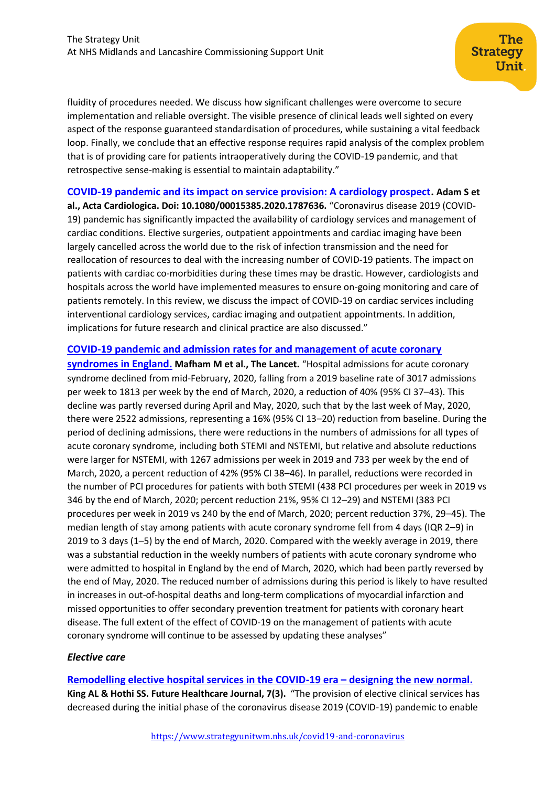fluidity of procedures needed. We discuss how significant challenges were overcome to secure implementation and reliable oversight. The visible presence of clinical leads well sighted on every aspect of the response guaranteed standardisation of procedures, while sustaining a vital feedback loop. Finally, we conclude that an effective response requires rapid analysis of the complex problem that is of providing care for patients intraoperatively during the COVID-19 pandemic, and that retrospective sense-making is essential to maintain adaptability."

**[COVID-19 pandemic and its impact on service provision: A cardiology prospect.](https://www.tandfonline.com/doi/pdf/10.1080/00015385.2020.1787636) Adam S et** 

**al., Acta Cardiologica. Doi: 10.1080/00015385.2020.1787636.** "Coronavirus disease 2019 (COVID-19) pandemic has significantly impacted the availability of cardiology services and management of cardiac conditions. Elective surgeries, outpatient appointments and cardiac imaging have been largely cancelled across the world due to the risk of infection transmission and the need for reallocation of resources to deal with the increasing number of COVID-19 patients. The impact on patients with cardiac co-morbidities during these times may be drastic. However, cardiologists and hospitals across the world have implemented measures to ensure on-going monitoring and care of patients remotely. In this review, we discuss the impact of COVID-19 on cardiac services including interventional cardiology services, cardiac imaging and outpatient appointments. In addition, implications for future research and clinical practice are also discussed."

## **[COVID-19 pandemic and admission rates for and management of acute coronary](https://www.thelancet.com/journals/lancet/article/PIIS0140-6736(20)31356-8/fulltext)**

**[syndromes in England.](https://www.thelancet.com/journals/lancet/article/PIIS0140-6736(20)31356-8/fulltext) Mafham M et al., The Lancet.** "Hospital admissions for acute coronary syndrome declined from mid-February, 2020, falling from a 2019 baseline rate of 3017 admissions per week to 1813 per week by the end of March, 2020, a reduction of 40% (95% CI 37–43). This decline was partly reversed during April and May, 2020, such that by the last week of May, 2020, there were 2522 admissions, representing a 16% (95% CI 13–20) reduction from baseline. During the period of declining admissions, there were reductions in the numbers of admissions for all types of acute coronary syndrome, including both STEMI and NSTEMI, but relative and absolute reductions were larger for NSTEMI, with 1267 admissions per week in 2019 and 733 per week by the end of March, 2020, a percent reduction of 42% (95% CI 38–46). In parallel, reductions were recorded in the number of PCI procedures for patients with both STEMI (438 PCI procedures per week in 2019 vs 346 by the end of March, 2020; percent reduction 21%, 95% CI 12–29) and NSTEMI (383 PCI procedures per week in 2019 vs 240 by the end of March, 2020; percent reduction 37%, 29–45). The median length of stay among patients with acute coronary syndrome fell from 4 days (IQR 2–9) in 2019 to 3 days (1–5) by the end of March, 2020. Compared with the weekly average in 2019, there was a substantial reduction in the weekly numbers of patients with acute coronary syndrome who were admitted to hospital in England by the end of March, 2020, which had been partly reversed by the end of May, 2020. The reduced number of admissions during this period is likely to have resulted in increases in out-of-hospital deaths and long-term complications of myocardial infarction and missed opportunities to offer secondary prevention treatment for patients with coronary heart disease. The full extent of the effect of COVID-19 on the management of patients with acute coronary syndrome will continue to be assessed by updating these analyses"

### *Elective care*

**[Remodelling elective hospital services in the COVID-19 era](https://www.rcpjournals.org/content/futurehosp/early/2020/07/14/fhj.2020-0079?papetoc=) – designing the new normal. King AL & Hothi SS. Future Healthcare Journal, 7(3).** "The provision of elective clinical services has decreased during the initial phase of the coronavirus disease 2019 (COVID-19) pandemic to enable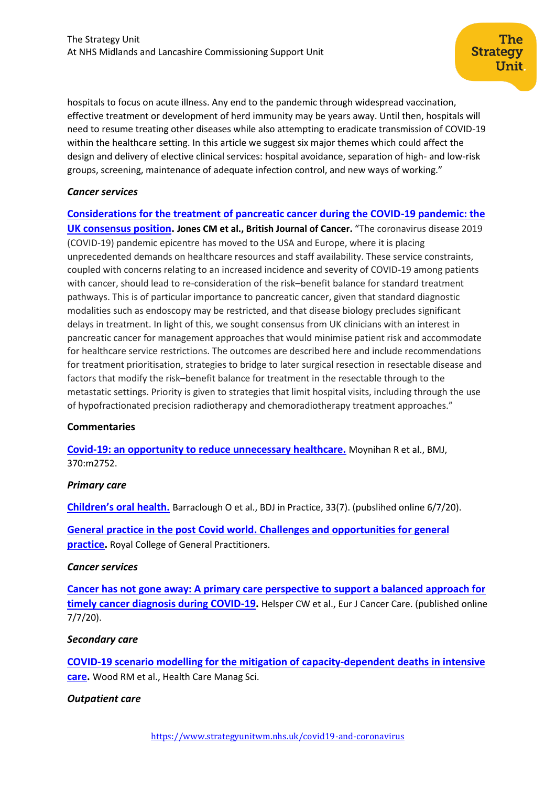hospitals to focus on acute illness. Any end to the pandemic through widespread vaccination, effective treatment or development of herd immunity may be years away. Until then, hospitals will need to resume treating other diseases while also attempting to eradicate transmission of COVID-19 within the healthcare setting. In this article we suggest six major themes which could affect the design and delivery of elective clinical services: hospital avoidance, separation of high- and low-risk groups, screening, maintenance of adequate infection control, and new ways of working."

### *Cancer services*

**[Considerations for the treatment of pancreatic cancer during the COVID-19 pandemic: the](https://www.nature.com/articles/s41416-020-0980-x)  [UK consensus position.](https://www.nature.com/articles/s41416-020-0980-x)** Jones CM et al., British Journal of Cancer. "The coronavirus disease 2019 (COVID-19) pandemic epicentre has moved to the USA and Europe, where it is placing unprecedented demands on healthcare resources and staff availability. These service constraints, coupled with concerns relating to an increased incidence and severity of COVID-19 among patients with cancer, should lead to re-consideration of the risk–benefit balance for standard treatment pathways. This is of particular importance to pancreatic cancer, given that standard diagnostic modalities such as endoscopy may be restricted, and that disease biology precludes significant delays in treatment. In light of this, we sought consensus from UK clinicians with an interest in pancreatic cancer for management approaches that would minimise patient risk and accommodate for healthcare service restrictions. The outcomes are described here and include recommendations for treatment prioritisation, strategies to bridge to later surgical resection in resectable disease and factors that modify the risk–benefit balance for treatment in the resectable through to the metastatic settings. Priority is given to strategies that limit hospital visits, including through the use of hypofractionated precision radiotherapy and chemoradiotherapy treatment approaches."

## **Commentaries**

**[Covid-19: an opportunity to reduce unnecessary healthcare.](https://www.bmj.com/content/370/bmj.m2752)** Moynihan R et al., BMJ, 370:m2752.

## *Primary care*

**[Children's oral health.](https://www.nature.com/articles/s41404-020-0458-9.pdf)** Barraclough O et al., BDJ in Practice, 33(7). (pubslihed online 6/7/20).

**[General practice in the post Covid world. Challenges and opportunities for general](https://cached.offlinehbpl.hbpl.co.uk/NewsAttachments/PGH/General-Practice-post-Covid-RCGP.pdf?utm_source=The%20King%27s%20Fund%20newsletters%20%28main%20account%29&utm_medium=email&utm_campaign=11660468_NEWSL_HMP%202020-07-10&dm_i=21A8,6XX9W,FLX5Q6,RXQ2O,1)  [practice.](https://cached.offlinehbpl.hbpl.co.uk/NewsAttachments/PGH/General-Practice-post-Covid-RCGP.pdf?utm_source=The%20King%27s%20Fund%20newsletters%20%28main%20account%29&utm_medium=email&utm_campaign=11660468_NEWSL_HMP%202020-07-10&dm_i=21A8,6XX9W,FLX5Q6,RXQ2O,1)** Royal College of General Practitioners.

### *Cancer services*

**[Cancer has not gone away: A primary care perspective to support a balanced approach for](https://onlinelibrary.wiley.com/doi/epdf/10.1111/ecc.13290)  [timely cancer diagnosis during COVID-19.](https://onlinelibrary.wiley.com/doi/epdf/10.1111/ecc.13290)** Helsper CW et al., Eur J Cancer Care. (published online 7/7/20).

### *Secondary care*

**[COVID-19 scenario modelling for the mitigation of capacity-dependent deaths in intensive](https://www.ncbi.nlm.nih.gov/research/coronavirus/publication/32642878)  [care.](https://www.ncbi.nlm.nih.gov/research/coronavirus/publication/32642878)** Wood RM et al., Health Care Manag Sci.

### *Outpatient care*